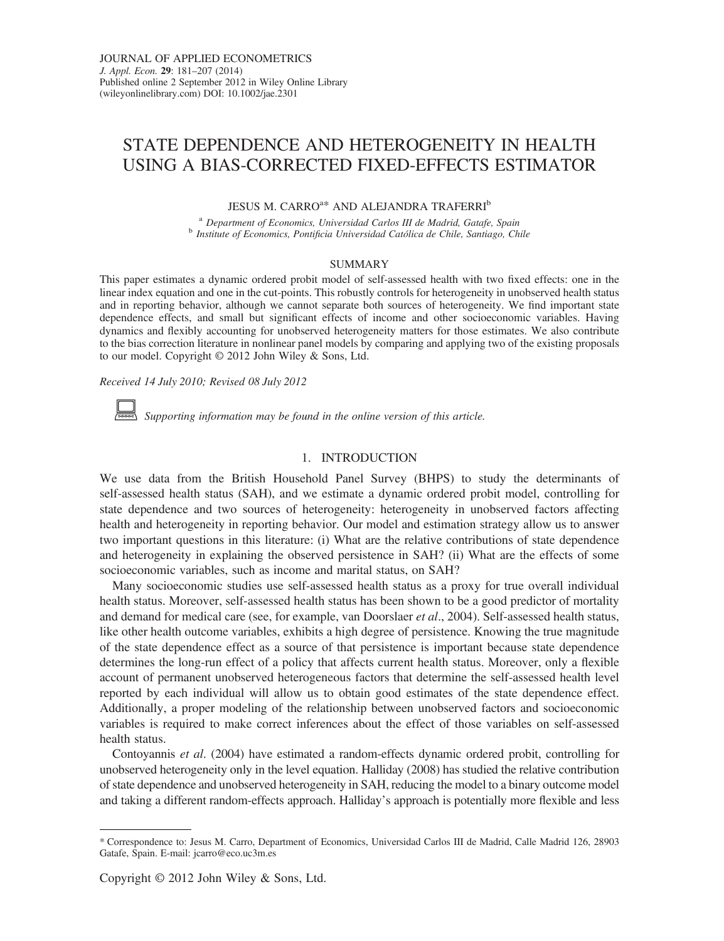# STATE DEPENDENCE AND HETEROGENEITY IN HEALTH USING A BIAS-CORRECTED FIXED-EFFECTS ESTIMATOR

## JESUS M. CARRO $^{\mathrm{a}\ast}$  AND ALEJANDRA TRAFERRI $^{\mathrm{b}}$

<sup>a</sup> Department of Economics, Universidad Carlos III de Madrid, Gatafe, Spain b Institute of Economics, Pontificia Universidad Católica de Chile, Santiago, Chile

#### SUMMARY

This paper estimates a dynamic ordered probit model of self-assessed health with two fixed effects: one in the linear index equation and one in the cut-points. This robustly controls for heterogeneity in unobserved health status and in reporting behavior, although we cannot separate both sources of heterogeneity. We find important state dependence effects, and small but significant effects of income and other socioeconomic variables. Having dynamics and flexibly accounting for unobserved heterogeneity matters for those estimates. We also contribute to the bias correction literature in nonlinear panel models by comparing and applying two of the existing proposals to our model. Copyright © 2012 John Wiley & Sons, Ltd.

Received 14 July 2010; Revised 08 July 2012



### 1. INTRODUCTION

We use data from the British Household Panel Survey (BHPS) to study the determinants of self-assessed health status (SAH), and we estimate a dynamic ordered probit model, controlling for state dependence and two sources of heterogeneity: heterogeneity in unobserved factors affecting health and heterogeneity in reporting behavior. Our model and estimation strategy allow us to answer two important questions in this literature: (i) What are the relative contributions of state dependence and heterogeneity in explaining the observed persistence in SAH? (ii) What are the effects of some socioeconomic variables, such as income and marital status, on SAH?

Many socioeconomic studies use self-assessed health status as a proxy for true overall individual health status. Moreover, self-assessed health status has been shown to be a good predictor of mortality and demand for medical care (see, for example, van Doorslaer et al., 2004). Self-assessed health status, like other health outcome variables, exhibits a high degree of persistence. Knowing the true magnitude of the state dependence effect as a source of that persistence is important because state dependence determines the long-run effect of a policy that affects current health status. Moreover, only a flexible account of permanent unobserved heterogeneous factors that determine the self-assessed health level reported by each individual will allow us to obtain good estimates of the state dependence effect. Additionally, a proper modeling of the relationship between unobserved factors and socioeconomic variables is required to make correct inferences about the effect of those variables on self-assessed health status.

Contoyannis et al. (2004) have estimated a random-effects dynamic ordered probit, controlling for unobserved heterogeneity only in the level equation. Halliday (2008) has studied the relative contribution of state dependence and unobserved heterogeneity in SAH, reducing the model to a binary outcome model and taking a different random-effects approach. Halliday's approach is potentially more flexible and less

<sup>\*</sup> Correspondence to: Jesus M. Carro, Department of Economics, Universidad Carlos III de Madrid, Calle Madrid 126, 28903 Gatafe, Spain. E-mail: jcarro@eco.uc3m.es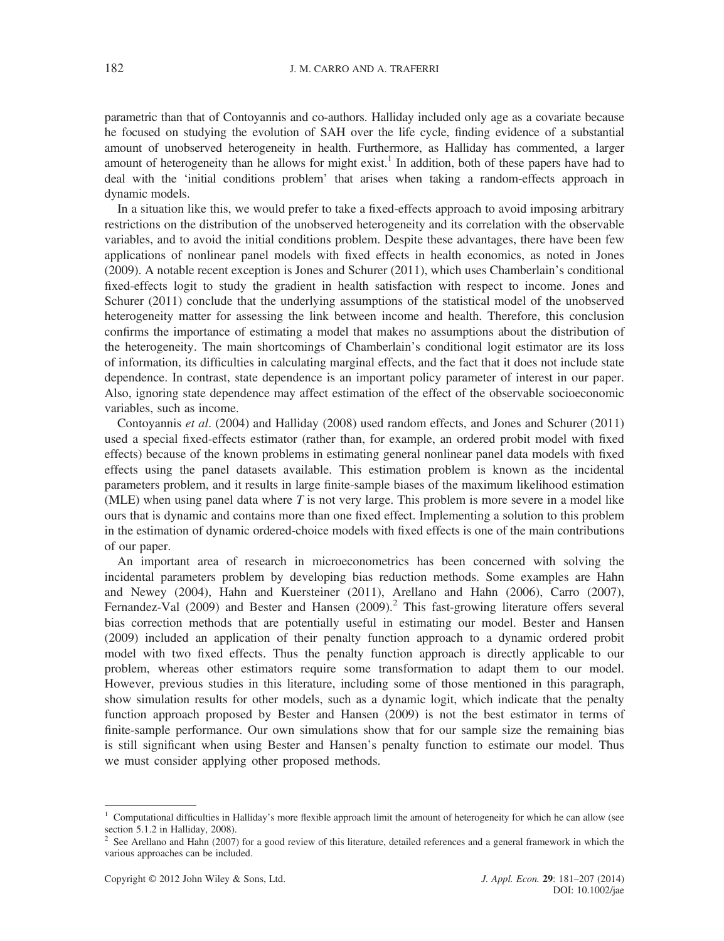parametric than that of Contoyannis and co-authors. Halliday included only age as a covariate because he focused on studying the evolution of SAH over the life cycle, finding evidence of a substantial amount of unobserved heterogeneity in health. Furthermore, as Halliday has commented, a larger amount of heterogeneity than he allows for might exist.<sup>1</sup> In addition, both of these papers have had to deal with the 'initial conditions problem' that arises when taking a random-effects approach in dynamic models.

In a situation like this, we would prefer to take a fixed-effects approach to avoid imposing arbitrary restrictions on the distribution of the unobserved heterogeneity and its correlation with the observable variables, and to avoid the initial conditions problem. Despite these advantages, there have been few applications of nonlinear panel models with fixed effects in health economics, as noted in Jones (2009). A notable recent exception is Jones and Schurer (2011), which uses Chamberlain's conditional fixed-effects logit to study the gradient in health satisfaction with respect to income. Jones and Schurer (2011) conclude that the underlying assumptions of the statistical model of the unobserved heterogeneity matter for assessing the link between income and health. Therefore, this conclusion confirms the importance of estimating a model that makes no assumptions about the distribution of the heterogeneity. The main shortcomings of Chamberlain's conditional logit estimator are its loss of information, its difficulties in calculating marginal effects, and the fact that it does not include state dependence. In contrast, state dependence is an important policy parameter of interest in our paper. Also, ignoring state dependence may affect estimation of the effect of the observable socioeconomic variables, such as income.

Contoyannis et al. (2004) and Halliday (2008) used random effects, and Jones and Schurer (2011) used a special fixed-effects estimator (rather than, for example, an ordered probit model with fixed effects) because of the known problems in estimating general nonlinear panel data models with fixed effects using the panel datasets available. This estimation problem is known as the incidental parameters problem, and it results in large finite-sample biases of the maximum likelihood estimation (MLE) when using panel data where  $T$  is not very large. This problem is more severe in a model like ours that is dynamic and contains more than one fixed effect. Implementing a solution to this problem in the estimation of dynamic ordered-choice models with fixed effects is one of the main contributions of our paper.

An important area of research in microeconometrics has been concerned with solving the incidental parameters problem by developing bias reduction methods. Some examples are Hahn and Newey (2004), Hahn and Kuersteiner (2011), Arellano and Hahn (2006), Carro (2007), Fernandez-Val (2009) and Bester and Hansen (2009).<sup>2</sup> This fast-growing literature offers several bias correction methods that are potentially useful in estimating our model. Bester and Hansen (2009) included an application of their penalty function approach to a dynamic ordered probit model with two fixed effects. Thus the penalty function approach is directly applicable to our problem, whereas other estimators require some transformation to adapt them to our model. However, previous studies in this literature, including some of those mentioned in this paragraph, show simulation results for other models, such as a dynamic logit, which indicate that the penalty function approach proposed by Bester and Hansen (2009) is not the best estimator in terms of finite-sample performance. Our own simulations show that for our sample size the remaining bias is still significant when using Bester and Hansen's penalty function to estimate our model. Thus we must consider applying other proposed methods.

<sup>1</sup> Computational difficulties in Halliday's more flexible approach limit the amount of heterogeneity for which he can allow (see section 5.1.2 in Halliday, 2008).

<sup>&</sup>lt;sup>2</sup> See Arellano and Hahn (2007) for a good review of this literature, detailed references and a general framework in which the various approaches can be included.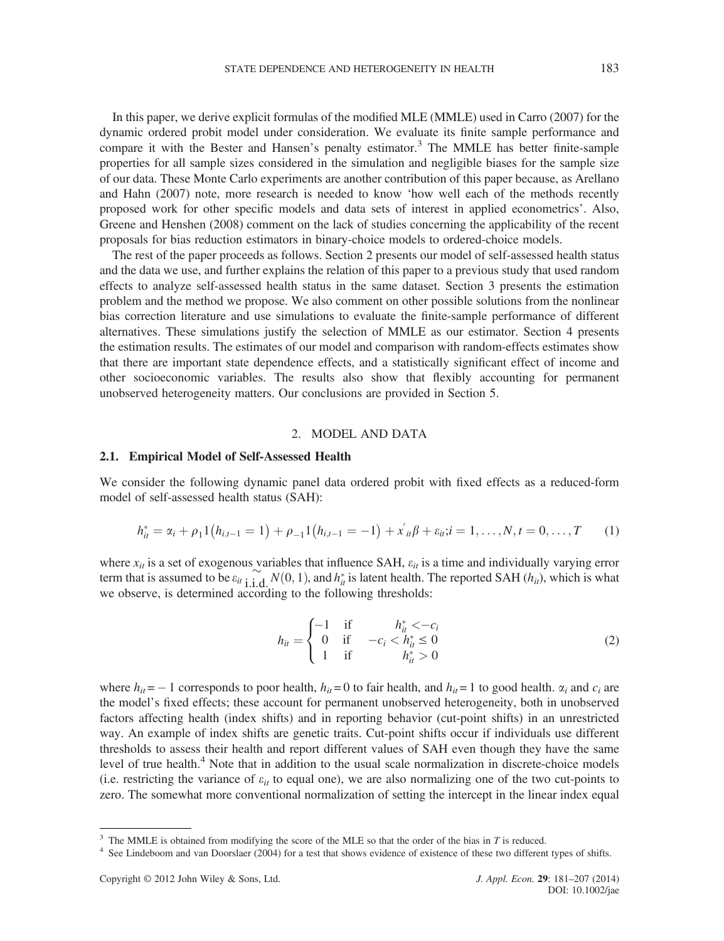In this paper, we derive explicit formulas of the modified MLE (MMLE) used in Carro (2007) for the dynamic ordered probit model under consideration. We evaluate its finite sample performance and compare it with the Bester and Hansen's penalty estimator.<sup>3</sup> The MMLE has better finite-sample properties for all sample sizes considered in the simulation and negligible biases for the sample size of our data. These Monte Carlo experiments are another contribution of this paper because, as Arellano and Hahn (2007) note, more research is needed to know 'how well each of the methods recently proposed work for other specific models and data sets of interest in applied econometrics'. Also, Greene and Henshen (2008) comment on the lack of studies concerning the applicability of the recent proposals for bias reduction estimators in binary-choice models to ordered-choice models.

The rest of the paper proceeds as follows. Section 2 presents our model of self-assessed health status and the data we use, and further explains the relation of this paper to a previous study that used random effects to analyze self-assessed health status in the same dataset. Section 3 presents the estimation problem and the method we propose. We also comment on other possible solutions from the nonlinear bias correction literature and use simulations to evaluate the finite-sample performance of different alternatives. These simulations justify the selection of MMLE as our estimator. Section 4 presents the estimation results. The estimates of our model and comparison with random-effects estimates show that there are important state dependence effects, and a statistically significant effect of income and other socioeconomic variables. The results also show that flexibly accounting for permanent unobserved heterogeneity matters. Our conclusions are provided in Section 5.

## 2. MODEL AND DATA

#### 2.1. Empirical Model of Self-Assessed Health

We consider the following dynamic panel data ordered probit with fixed effects as a reduced-form model of self-assessed health status (SAH):

$$
h_{it}^* = \alpha_i + \rho_1 1(h_{i,t-1} = 1) + \rho_{-1} 1(h_{i,t-1} = -1) + x_{it}'\beta + \varepsilon_{it}; i = 1,\ldots,N, t = 0,\ldots,T
$$
 (1)

where  $x_{it}$  is a set of exogenous variables that influence SAH,  $\varepsilon_{it}$  is a time and individually varying error term that is assumed to be  $\varepsilon_{i}$ .  $\sum_{i=1}^{n} N(0, 1)$  and  $h^*$  is latent health. The reported SAH  $(h_1$ term that is assumed to be  $\varepsilon_{it}$  i.i.d.  $N(0, 1)$ , and  $h_{it}^*$  is latent health. The reported SAH  $(h_{it})$ , which is what we observe is determined according to the following thresholds. we observe, is determined according to the following thresholds:

$$
h_{it} = \begin{cases} -1 & \text{if} & h_{it}^* < -c_i \\ 0 & \text{if} & -c_i < h_{it}^* \le 0 \\ 1 & \text{if} & h_{it}^* > 0 \end{cases}
$$
 (2)

where  $h_{ii} = -1$  corresponds to poor health,  $h_{ii} = 0$  to fair health, and  $h_{ii} = 1$  to good health.  $\alpha_i$  and  $c_i$  are the model's fixed effects; these account for permanent unobserved heterogeneity, both in unobserved factors affecting health (index shifts) and in reporting behavior (cut-point shifts) in an unrestricted way. An example of index shifts are genetic traits. Cut-point shifts occur if individuals use different thresholds to assess their health and report different values of SAH even though they have the same level of true health.<sup>4</sup> Note that in addition to the usual scale normalization in discrete-choice models (i.e. restricting the variance of  $\varepsilon_{it}$  to equal one), we are also normalizing one of the two cut-points to zero. The somewhat more conventional normalization of setting the intercept in the linear index equal

<sup>&</sup>lt;sup>3</sup> The MMLE is obtained from modifying the score of the MLE so that the order of the bias in *T* is reduced.<br><sup>4</sup> See Lindeboom and van Doorslaer (2004) for a test that shows evidence of existence of these two different t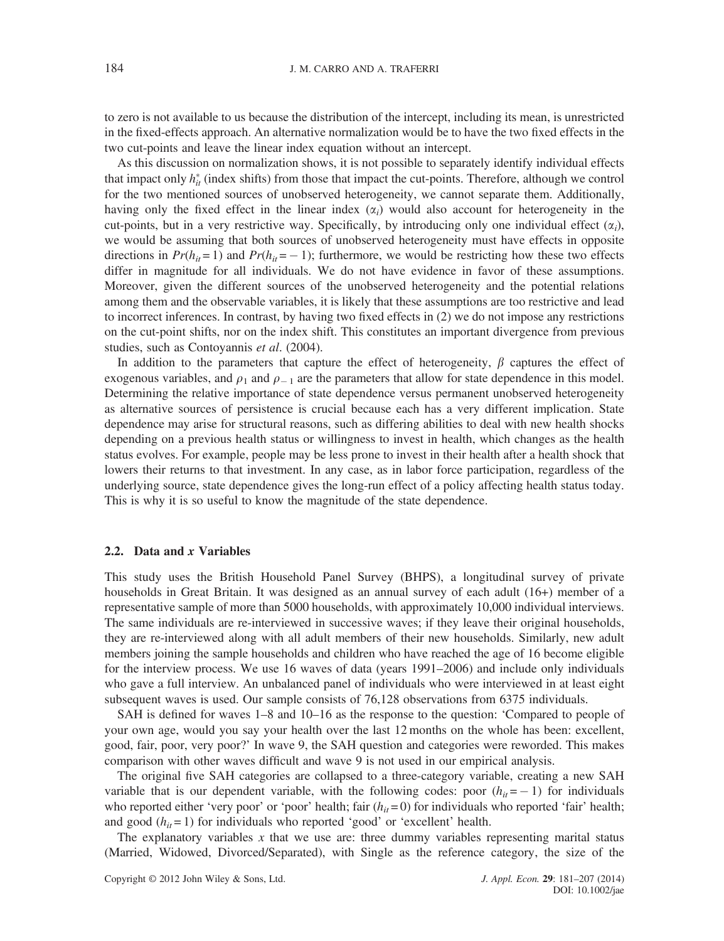to zero is not available to us because the distribution of the intercept, including its mean, is unrestricted in the fixed-effects approach. An alternative normalization would be to have the two fixed effects in the two cut-points and leave the linear index equation without an intercept.

As this discussion on normalization shows, it is not possible to separately identify individual effects that impact only  $h_{it}^*$  (index shifts) from those that impact the cut-points. Therefore, although we control for the two mentioned sources of unobserved heterogeneity, we cannot separate them. Additionally, having only the fixed effect in the linear index  $(\alpha_i)$  would also account for heterogeneity in the cut-points, but in a very restrictive way. Specifically, by introducing only one individual effect  $(\alpha_i)$ , we would be assuming that both sources of unobserved heterogeneity must have effects in opposite directions in  $Pr(h_{it} = 1)$  and  $Pr(h_{it} = -1)$ ; furthermore, we would be restricting how these two effects differ in magnitude for all individuals. We do not have evidence in favor of these assumptions. Moreover, given the different sources of the unobserved heterogeneity and the potential relations among them and the observable variables, it is likely that these assumptions are too restrictive and lead to incorrect inferences. In contrast, by having two fixed effects in (2) we do not impose any restrictions on the cut-point shifts, nor on the index shift. This constitutes an important divergence from previous studies, such as Contoyannis et al. (2004).

In addition to the parameters that capture the effect of heterogeneity,  $\beta$  captures the effect of exogenous variables, and  $\rho_1$  and  $\rho_{-1}$  are the parameters that allow for state dependence in this model. Determining the relative importance of state dependence versus permanent unobserved heterogeneity as alternative sources of persistence is crucial because each has a very different implication. State dependence may arise for structural reasons, such as differing abilities to deal with new health shocks depending on a previous health status or willingness to invest in health, which changes as the health status evolves. For example, people may be less prone to invest in their health after a health shock that lowers their returns to that investment. In any case, as in labor force participation, regardless of the underlying source, state dependence gives the long-run effect of a policy affecting health status today. This is why it is so useful to know the magnitude of the state dependence.

## 2.2. Data and x Variables

This study uses the British Household Panel Survey (BHPS), a longitudinal survey of private households in Great Britain. It was designed as an annual survey of each adult (16+) member of a representative sample of more than 5000 households, with approximately 10,000 individual interviews. The same individuals are re-interviewed in successive waves; if they leave their original households, they are re-interviewed along with all adult members of their new households. Similarly, new adult members joining the sample households and children who have reached the age of 16 become eligible for the interview process. We use 16 waves of data (years 1991–2006) and include only individuals who gave a full interview. An unbalanced panel of individuals who were interviewed in at least eight subsequent waves is used. Our sample consists of 76,128 observations from 6375 individuals.

SAH is defined for waves 1–8 and 10–16 as the response to the question: 'Compared to people of your own age, would you say your health over the last 12 months on the whole has been: excellent, good, fair, poor, very poor?' In wave 9, the SAH question and categories were reworded. This makes comparison with other waves difficult and wave 9 is not used in our empirical analysis.

The original five SAH categories are collapsed to a three-category variable, creating a new SAH variable that is our dependent variable, with the following codes: poor  $(h_{ii} = -1)$  for individuals who reported either 'very poor' or 'poor' health; fair  $(h_{it} = 0)$  for individuals who reported 'fair' health; and good  $(h_{ii} = 1)$  for individuals who reported 'good' or 'excellent' health.

The explanatory variables  $x$  that we use are: three dummy variables representing marital status (Married, Widowed, Divorced/Separated), with Single as the reference category, the size of the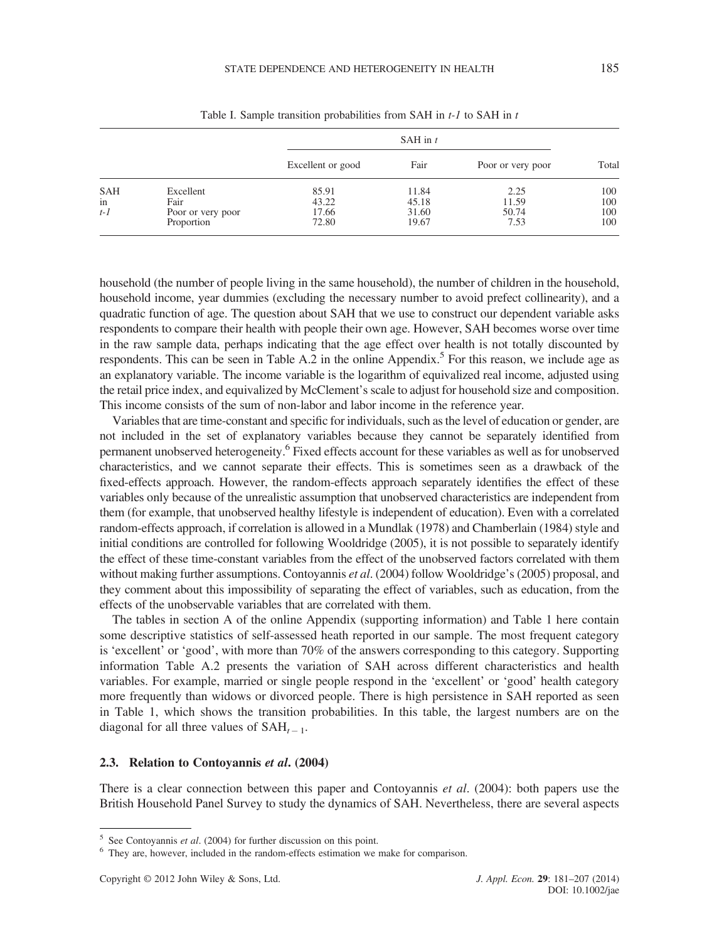|                           |                                                      | SAH in $t$                       |                                  |                                |                          |
|---------------------------|------------------------------------------------------|----------------------------------|----------------------------------|--------------------------------|--------------------------|
|                           |                                                      | Excellent or good                | Fair                             | Poor or very poor              | Total                    |
| <b>SAH</b><br>in<br>$t-1$ | Excellent<br>Fair<br>Poor or very poor<br>Proportion | 85.91<br>43.22<br>17.66<br>72.80 | 11.84<br>45.18<br>31.60<br>19.67 | 2.25<br>11.59<br>50.74<br>7.53 | 100<br>100<br>100<br>100 |

Table I. Sample transition probabilities from SAH in  $t$ -1 to SAH in  $t$ 

household (the number of people living in the same household), the number of children in the household, household income, year dummies (excluding the necessary number to avoid prefect collinearity), and a quadratic function of age. The question about SAH that we use to construct our dependent variable asks respondents to compare their health with people their own age. However, SAH becomes worse over time in the raw sample data, perhaps indicating that the age effect over health is not totally discounted by respondents. This can be seen in Table A.2 in the online Appendix.<sup>5</sup> For this reason, we include age as an explanatory variable. The income variable is the logarithm of equivalized real income, adjusted using the retail price index, and equivalized by McClement's scale to adjust for household size and composition. This income consists of the sum of non-labor and labor income in the reference year.

Variables that are time-constant and specific for individuals, such as the level of education or gender, are not included in the set of explanatory variables because they cannot be separately identified from permanent unobserved heterogeneity.6 Fixed effects account for these variables as well as for unobserved characteristics, and we cannot separate their effects. This is sometimes seen as a drawback of the fixed-effects approach. However, the random-effects approach separately identifies the effect of these variables only because of the unrealistic assumption that unobserved characteristics are independent from them (for example, that unobserved healthy lifestyle is independent of education). Even with a correlated random-effects approach, if correlation is allowed in a Mundlak (1978) and Chamberlain (1984) style and initial conditions are controlled for following Wooldridge (2005), it is not possible to separately identify the effect of these time-constant variables from the effect of the unobserved factors correlated with them without making further assumptions. Contoyannis et al. (2004) follow Wooldridge's (2005) proposal, and they comment about this impossibility of separating the effect of variables, such as education, from the effects of the unobservable variables that are correlated with them.

The tables in section A of the online Appendix (supporting information) and Table 1 here contain some descriptive statistics of self-assessed heath reported in our sample. The most frequent category is 'excellent' or 'good', with more than 70% of the answers corresponding to this category. Supporting information Table A.2 presents the variation of SAH across different characteristics and health variables. For example, married or single people respond in the 'excellent' or 'good' health category more frequently than widows or divorced people. There is high persistence in SAH reported as seen in Table 1, which shows the transition probabilities. In this table, the largest numbers are on the diagonal for all three values of  $SAH_{t-1}$ .

## 2.3. Relation to Contoyannis et al. (2004)

There is a clear connection between this paper and Contoyannis *et al.* (2004): both papers use the British Household Panel Survey to study the dynamics of SAH. Nevertheless, there are several aspects

<sup>&</sup>lt;sup>5</sup> See Contoyannis *et al.* (2004) for further discussion on this point.<br><sup>6</sup> They are, however, included in the random-effects estimation we make for comparison.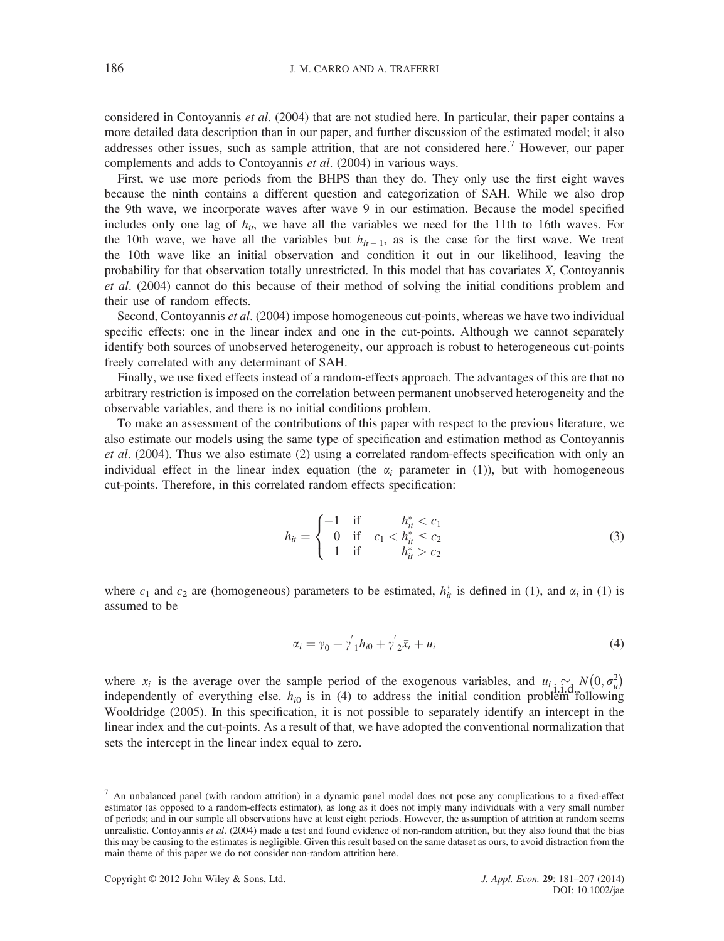considered in Contoyannis et al. (2004) that are not studied here. In particular, their paper contains a more detailed data description than in our paper, and further discussion of the estimated model; it also addresses other issues, such as sample attrition, that are not considered here.<sup>7</sup> However, our paper complements and adds to Contoyannis et al. (2004) in various ways.

First, we use more periods from the BHPS than they do. They only use the first eight waves because the ninth contains a different question and categorization of SAH. While we also drop the 9th wave, we incorporate waves after wave 9 in our estimation. Because the model specified includes only one lag of  $h_{ii}$ , we have all the variables we need for the 11th to 16th waves. For the 10th wave, we have all the variables but  $h_{it-1}$ , as is the case for the first wave. We treat the 10th wave like an initial observation and condition it out in our likelihood, leaving the probability for that observation totally unrestricted. In this model that has covariates X, Contoyannis et al. (2004) cannot do this because of their method of solving the initial conditions problem and their use of random effects.

Second, Contoyannis *et al.* (2004) impose homogeneous cut-points, whereas we have two individual specific effects: one in the linear index and one in the cut-points. Although we cannot separately identify both sources of unobserved heterogeneity, our approach is robust to heterogeneous cut-points freely correlated with any determinant of SAH.

Finally, we use fixed effects instead of a random-effects approach. The advantages of this are that no arbitrary restriction is imposed on the correlation between permanent unobserved heterogeneity and the observable variables, and there is no initial conditions problem.

To make an assessment of the contributions of this paper with respect to the previous literature, we also estimate our models using the same type of specification and estimation method as Contoyannis et al. (2004). Thus we also estimate (2) using a correlated random-effects specification with only an individual effect in the linear index equation (the  $\alpha_i$  parameter in (1)), but with homogeneous cut-points. Therefore, in this correlated random effects specification:

$$
h_{it} = \begin{cases} -1 & \text{if} & h_{it}^{*} < c_{1} \\ 0 & \text{if} & c_{1} < h_{it}^{*} \leq c_{2} \\ 1 & \text{if} & h_{it}^{*} > c_{2} \end{cases}
$$
(3)

where  $c_1$  and  $c_2$  are (homogeneous) parameters to be estimated,  $h_{it}^*$  is defined in (1), and  $\alpha_i$  in (1) is assumed to be assumed to be

$$
\alpha_i = \gamma_0 + \gamma_1 h_{i0} + \gamma_2 \bar{x}_i + u_i \tag{4}
$$

where  $\bar{x}_i$  is the average over the sample period of the exogenous variables, and  $u_i \sim N(0, \sigma_u^2)$ <br>independently of everything else  $h_u$  is in (4) to address the initial condition problem following independently of everything else.  $h_{i0}$  is in (4) to address the initial condition problem following Wooldridge (2005). In this specification, it is not possible to separately identify an intercept in the linear index and the cut-points. As a result of that, we have adopted the conventional normalization that sets the intercept in the linear index equal to zero.

 $<sup>7</sup>$  An unbalanced panel (with random attrition) in a dynamic panel model does not pose any complications to a fixed-effect</sup> estimator (as opposed to a random-effects estimator), as long as it does not imply many individuals with a very small number of periods; and in our sample all observations have at least eight periods. However, the assumption of attrition at random seems unrealistic. Contoyannis et al. (2004) made a test and found evidence of non-random attrition, but they also found that the bias this may be causing to the estimates is negligible. Given this result based on the same dataset as ours, to avoid distraction from the main theme of this paper we do not consider non-random attrition here.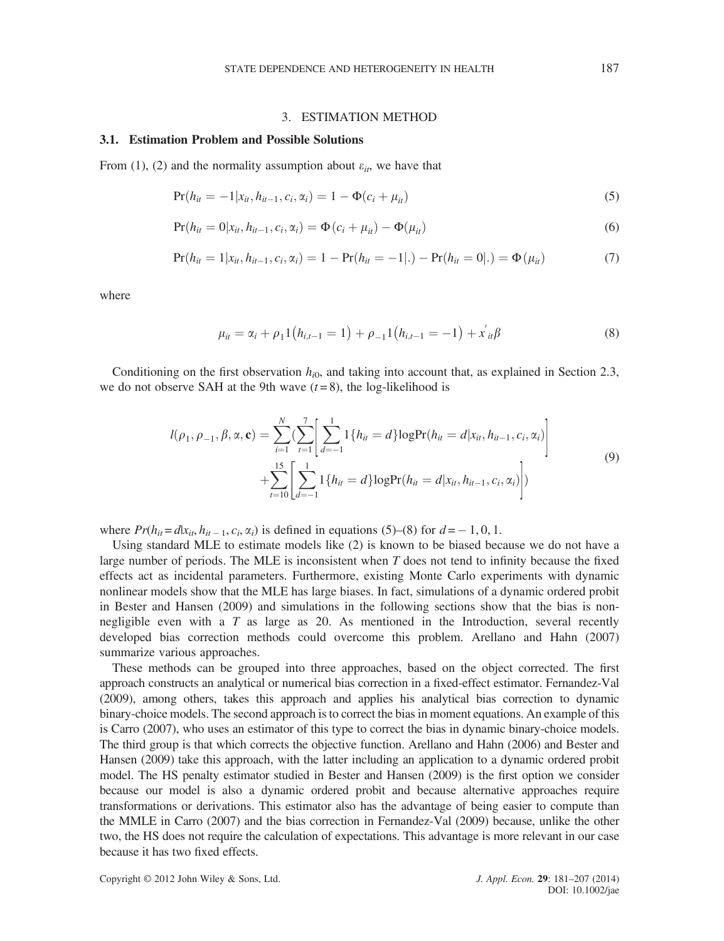#### 3. ESTIMATION METHOD

#### 3.1. Estimation Problem and Possible Solutions

From (1), (2) and the normality assumption about  $\varepsilon_{it}$ , we have that

$$
Pr(h_{it} = -1 | x_{it}, h_{it-1}, c_i, \alpha_i) = 1 - \Phi(c_i + \mu_{it})
$$
\n(5)

$$
Pr(h_{it} = 0 | x_{it}, h_{it-1}, c_i, \alpha_i) = \Phi(c_i + \mu_{it}) - \Phi(\mu_{it})
$$
\n(6)

$$
Pr(h_{it} = 1 | x_{it}, h_{it-1}, c_i, \alpha_i) = 1 - Pr(h_{it} = -1 | .) - Pr(h_{it} = 0 | .) = \Phi(\mu_{it})
$$
\n(7)

where

$$
\mu_{it} = \alpha_i + \rho_1 1(h_{i,t-1} = 1) + \rho_{-1} 1(h_{i,t-1} = -1) + x \nu_{it} \beta \tag{8}
$$

Conditioning on the first observation  $h_{i0}$ , and taking into account that, as explained in Section 2.3, we do not observe SAH at the 9th wave  $(t = 8)$ , the log-likelihood is

$$
l(\rho_1, \rho_{-1}, \beta, \alpha, \mathbf{c}) = \sum_{i=1}^{N} \left( \sum_{t=1}^{7} \left[ \sum_{d=-1}^{1} 1\{h_{it} = d\} \log \Pr(h_{it} = d | x_{it}, h_{it-1}, c_i, \alpha_i) \right] + \sum_{t=10}^{15} \left[ \sum_{d=-1}^{1} 1\{h_{it} = d\} \log \Pr(h_{it} = d | x_{it}, h_{it-1}, c_i, \alpha_i) \right] \right)
$$
(9)

where  $Pr(h_{it} = d|x_{it}, h_{it-1}, c_i, \alpha_i)$  is defined in equations (5)–(8) for  $d = -1, 0, 1$ .

Using standard MLE to estimate models like (2) is known to be biased because we do not have a large number of periods. The MLE is inconsistent when  $T$  does not tend to infinity because the fixed effects act as incidental parameters. Furthermore, existing Monte Carlo experiments with dynamic nonlinear models show that the MLE has large biases. In fact, simulations of a dynamic ordered probit in Bester and Hansen (2009) and simulations in the following sections show that the bias is nonnegligible even with a  $T$  as large as 20. As mentioned in the Introduction, several recently developed bias correction methods could overcome this problem. Arellano and Hahn (2007) summarize various approaches.

These methods can be grouped into three approaches, based on the object corrected. The first approach constructs an analytical or numerical bias correction in a fixed-effect estimator. Fernandez-Val (2009), among others, takes this approach and applies his analytical bias correction to dynamic binary-choice models. The second approach is to correct the bias in moment equations. An example of this is Carro (2007), who uses an estimator of this type to correct the bias in dynamic binary-choice models. The third group is that which corrects the objective function. Arellano and Hahn (2006) and Bester and Hansen (2009) take this approach, with the latter including an application to a dynamic ordered probit model. The HS penalty estimator studied in Bester and Hansen (2009) is the first option we consider because our model is also a dynamic ordered probit and because alternative approaches require transformations or derivations. This estimator also has the advantage of being easier to compute than the MMLE in Carro (2007) and the bias correction in Fernandez-Val (2009) because, unlike the other two, the HS does not require the calculation of expectations. This advantage is more relevant in our case because it has two fixed effects.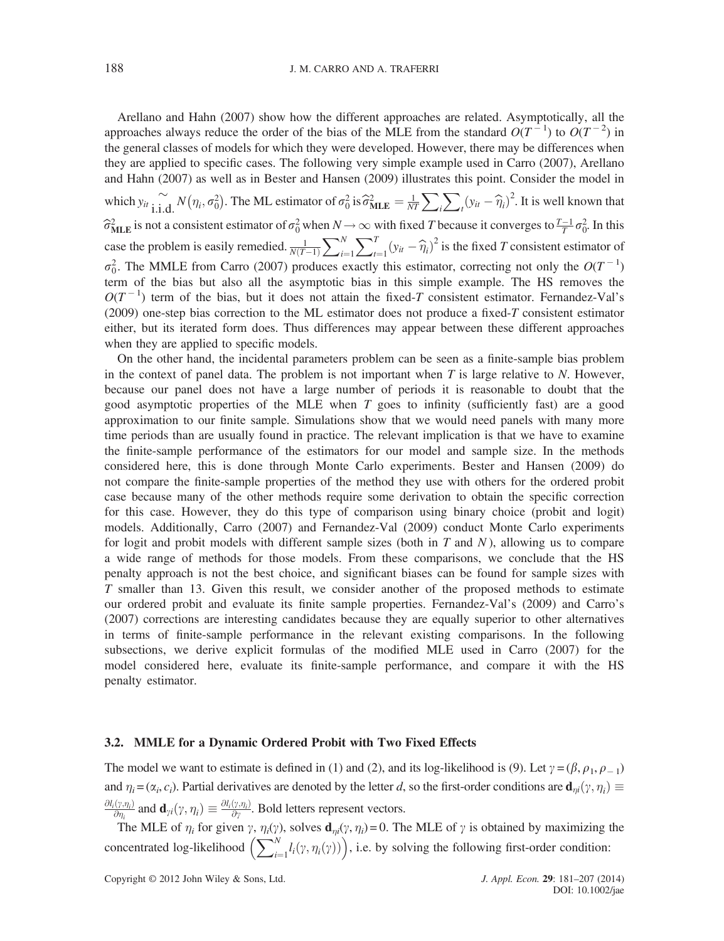Arellano and Hahn (2007) show how the different approaches are related. Asymptotically, all the approaches always reduce the order of the bias of the MLE from the standard  $O(T^{-1})$  to  $O(T^{-2})$  in the general classes of models for which they were developed. However, there may be differences when they are applied to specific cases. The following very simple example used in Carro (2007), Arellano and Hahn (2007) as well as in Bester and Hansen (2009) illustrates this point. Consider the model in which  $y_{it} \sum_{i.i.d.}^{\infty} N(\eta_i, \sigma_0^2)$ . The ML estimator of  $\sigma_0^2$  is  $\hat{\sigma}_{MLE}^2 = \frac{1}{NT} \sum_i \sum_i (y_{it} - \hat{\eta}_i)^2$ . It is well known that  $\hat{\sigma}_{MLE}^2$  is not a consistent estimator of  $\sigma_0^2$  when  $N \to \infty$  with fixed T because it converges to  $\frac{T-1}{T} \sigma_0^2$ . In this case the problem is easily remedied.  $\frac{1}{N(T-1)}$  $\sum_{i=1}^{N} \sum_{t=1}^{T} (y_{it} - \hat{\eta}_i)^2$  is the fixed T consistent estimator of <sup>2</sup><sub>0</sub>. The MMLE from Carro (2007) produces exactly this estimator, correcting not only the  $O(T^{-1})$  $\sigma_0^2$ . The MMLE from Carro (2007) produces exactly this estimator, correcting not only the  $O(T^{-1})$  term of the bias but also all the asymptotic bias in this simple example. The HS removes the  $O(T^{-1})$  term of the bias, but it does not attain the fixed-T consistent estimator. Fernandez-Val's (2009) one-step bias correction to the ML estimator does not produce a fixed-T consistent estimator either, but its iterated form does. Thus differences may appear between these different approaches when they are applied to specific models.

On the other hand, the incidental parameters problem can be seen as a finite-sample bias problem in the context of panel data. The problem is not important when  $T$  is large relative to  $N$ . However, because our panel does not have a large number of periods it is reasonable to doubt that the good asymptotic properties of the MLE when T goes to infinity (sufficiently fast) are a good approximation to our finite sample. Simulations show that we would need panels with many more time periods than are usually found in practice. The relevant implication is that we have to examine the finite-sample performance of the estimators for our model and sample size. In the methods considered here, this is done through Monte Carlo experiments. Bester and Hansen (2009) do not compare the finite-sample properties of the method they use with others for the ordered probit case because many of the other methods require some derivation to obtain the specific correction for this case. However, they do this type of comparison using binary choice (probit and logit) models. Additionally, Carro (2007) and Fernandez-Val (2009) conduct Monte Carlo experiments for logit and probit models with different sample sizes (both in  $T$  and  $N$ ), allowing us to compare a wide range of methods for those models. From these comparisons, we conclude that the HS penalty approach is not the best choice, and significant biases can be found for sample sizes with T smaller than 13. Given this result, we consider another of the proposed methods to estimate our ordered probit and evaluate its finite sample properties. Fernandez-Val's (2009) and Carro's (2007) corrections are interesting candidates because they are equally superior to other alternatives in terms of finite-sample performance in the relevant existing comparisons. In the following subsections, we derive explicit formulas of the modified MLE used in Carro (2007) for the model considered here, evaluate its finite-sample performance, and compare it with the HS penalty estimator.

#### 3.2. MMLE for a Dynamic Ordered Probit with Two Fixed Effects

The model we want to estimate is defined in (1) and (2), and its log-likelihood is (9). Let  $\gamma = (\beta, \rho_1, \rho_{-1})$ and  $\eta_i = (\alpha_i, c_i)$ . Partial derivatives are denoted by the letter d, so the first-order conditions are  $\mathbf{d}_{\eta i}(\gamma, \eta_i) \equiv$  $\frac{\partial l_i(y,\eta_i)}{\partial \eta_i}$  and  $\mathbf{d}_{\gamma i}(y,\eta_i) \equiv \frac{\partial l_i(y,\eta_i)}{\partial y}$ . Bold letters represent vectors.

The MLE of  $\eta_i$  for given  $\gamma$ ,  $\eta_i(\gamma)$ , solves  $\mathbf{d}_{\eta i}(\gamma, \eta_i) = 0$ . The MLE of  $\gamma$  is obtained by maximizing the concentrated log-likelihood  $\left(\sum_{i=1}^{N}X_i\right)$  $\left(\sum_{i=1}^{N} l_i(\gamma, \eta_i(\gamma))\right)$ , i.e. by solving the following first-order condition: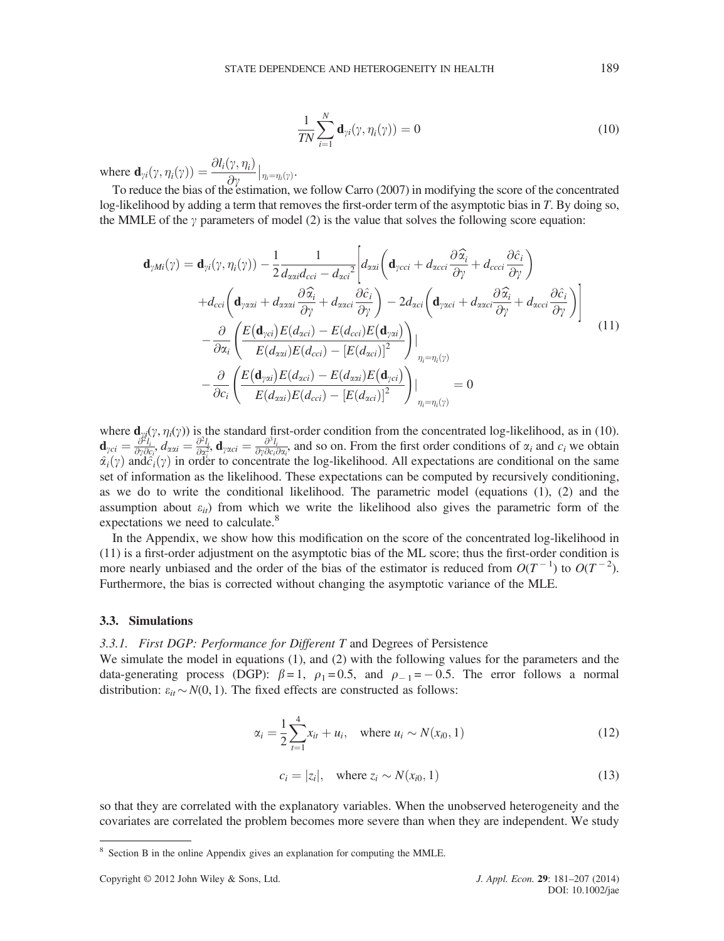$$
\frac{1}{TN} \sum_{i=1}^{N} \mathbf{d}_{\gamma i}(\gamma, \eta_i(\gamma)) = 0
$$
\n(10)

where  $\mathbf{d}_{\gamma i}(\gamma, \eta_i(\gamma)) = \frac{\partial l_i(\gamma, \eta_i)}{\partial \gamma} \big|_{\eta_i = \eta_i(\gamma)}$ .<br>To reduce the bigs of the continuation.

To reduce the bias of the estimation, we follow Carro (2007) in modifying the score of the concentrated To reduce the bias of the estimation, we follow Carro (2007) in modifying the score of the concentrated log-likelihood by adding a term that removes the first-order term of the asymptotic bias in T. By doing so, the MMLE of the  $\gamma$  parameters of model (2) is the value that solves the following score equation:

$$
\mathbf{d}_{\gamma Mi}(\gamma) = \mathbf{d}_{\gamma i}(\gamma, \eta_i(\gamma)) - \frac{1}{2} \frac{1}{d_{axi}d_{cci} - d_{xci}} \left[ d_{axi} \left( \mathbf{d}_{\gamma cci} + d_{acci} \frac{\partial \widehat{\alpha}_i}{\partial \gamma} + d_{ccci} \frac{\partial \widehat{c}_i}{\partial \gamma} \right) \right]
$$
  
+
$$
d_{cci} \left( \mathbf{d}_{\gamma \alpha i} + d_{\alpha \alpha i} \frac{\partial \widehat{\alpha}_i}{\partial \gamma} + d_{\alpha \alpha i} \frac{\partial \widehat{c}_i}{\partial \gamma} \right) - 2 d_{\alpha c i} \left( \mathbf{d}_{\gamma \alpha i} + d_{\alpha \alpha i} \frac{\partial \widehat{\alpha}_i}{\partial \gamma} + d_{\alpha c i} \frac{\partial \widehat{c}_i}{\partial \gamma} \right) \right]
$$

$$
- \frac{\partial}{\partial \alpha_i} \left( \frac{E(\mathbf{d}_{\gamma ci}) E(d_{\alpha ci}) - E(d_{cci}) E(\mathbf{d}_{\gamma \alpha i})}{E(d_{\alpha \alpha i}) E(d_{cci}) - [E(d_{\alpha ci})]^2} \right) \Big|_{\eta_i = \eta_i(\gamma)}
$$

$$
- \frac{\partial}{\partial c_i} \left( \frac{E(\mathbf{d}_{\gamma \alpha i}) E(d_{\alpha ci}) - E(d_{\alpha \alpha i}) E(\mathbf{d}_{\gamma \alpha i})}{E(d_{\alpha \alpha i}) E(d_{cci}) - [E(d_{\alpha ci})]^2} \right) \Big|_{\eta_i = \eta_i(\gamma)} = 0
$$
(11)

where  $\mathbf{d}_{y_i}(y, \eta_i(y))$  is the standard first-order condition from the concentrated log-likelihood, as in (10).<br> $\mathbf{d}_{y_i}(y, \eta_i(y))$  is the standard first-order condition from the first order conditions of x, and c, we obt  $\mathbf{d}_{\gamma ci} = \frac{\partial^2 l_i}{\partial y \partial c_i}, d_{\alpha \alpha i} = \frac{\partial^2 l_i}{\partial x^2}, \mathbf{d}_{\gamma \alpha ci} = \frac{\partial^3 l_i}{\partial \gamma \partial c_i \partial \alpha_i}$ , and so on. From the first order conditions of  $\alpha_i$  and  $c_i$  we obtain  $\hat{\alpha}$ . (v) and  $\hat{c}$ . (v) in order to concentrate the  $\hat{\alpha}_i(\gamma)$  and $\hat{\alpha}_i(\gamma)$  in order to concentrate the log-likelihood. All expectations are conditional on the same<br>set of information as the likelihood. These expectations can be computed by recursively conditioning set of information as the likelihood. These expectations can be computed by recursively conditioning, as we do to write the conditional likelihood. The parametric model (equations (1), (2) and the assumption about  $\varepsilon_{it}$ ) from which we write the likelihood also gives the parametric form of the expectations we need to calculate.<sup>8</sup>

In the Appendix, we show how this modification on the score of the concentrated log-likelihood in (11) is a first-order adjustment on the asymptotic bias of the ML score; thus the first-order condition is more nearly unbiased and the order of the bias of the estimator is reduced from  $O(T^{-1})$  to  $O(T^{-2})$ . Furthermore, the bias is corrected without changing the asymptotic variance of the MLE.

#### 3.3. Simulations

## 3.3.1. First DGP: Performance for Different T and Degrees of Persistence

We simulate the model in equations (1), and (2) with the following values for the parameters and the data-generating process (DGP):  $\beta = 1$ ,  $\rho_1 = 0.5$ , and  $\rho_{-1} = -0.5$ . The error follows a normal distribution:  $\varepsilon_{it} \sim N(0, 1)$ . The fixed effects are constructed as follows:

$$
\alpha_i = \frac{1}{2} \sum_{t=1}^{4} x_{it} + u_i, \quad \text{where } u_i \sim N(x_{i0}, 1)
$$
 (12)

$$
c_i = |z_i|, \quad \text{where } z_i \sim N(x_{i0}, 1) \tag{13}
$$

so that they are correlated with the explanatory variables. When the unobserved heterogeneity and the covariates are correlated the problem becomes more severe than when they are independent. We study

<sup>&</sup>lt;sup>8</sup> Section B in the online Appendix gives an explanation for computing the MMLE.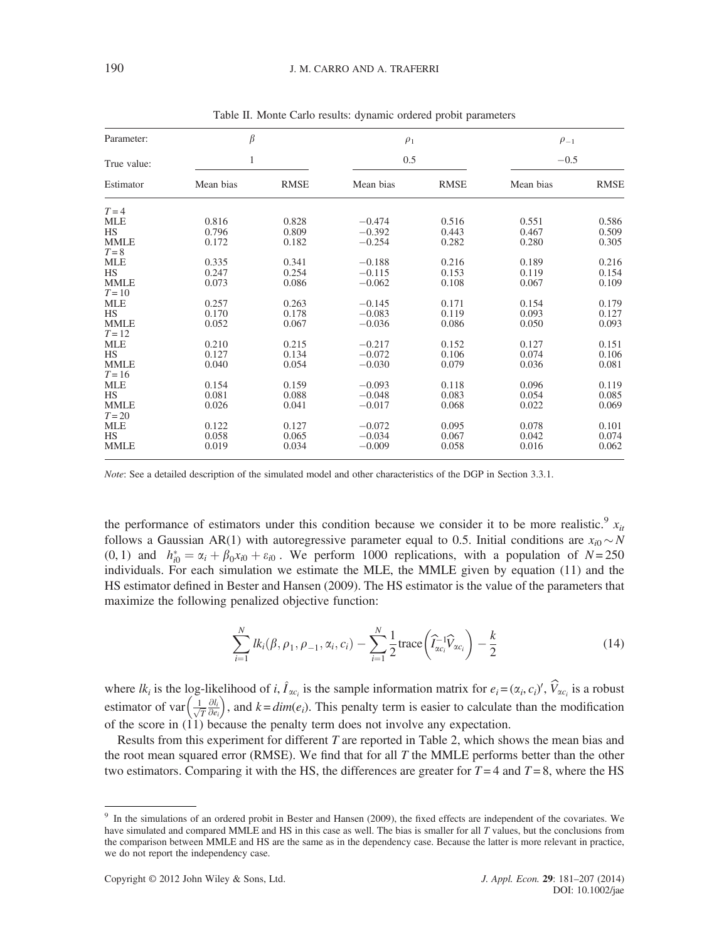| Parameter:             | $\beta$<br>1 |             | $\rho_1$<br>0.5 |             | $\rho_{-1}$<br>$-0.5$ |             |
|------------------------|--------------|-------------|-----------------|-------------|-----------------------|-------------|
| True value:            |              |             |                 |             |                       |             |
| Estimator              | Mean bias    | <b>RMSE</b> | Mean bias       | <b>RMSE</b> | Mean bias             | <b>RMSE</b> |
| $T = 4$                |              |             |                 |             |                       |             |
| <b>MLE</b>             | 0.816        | 0.828       | $-0.474$        | 0.516       | 0.551                 | 0.586       |
| <b>HS</b>              | 0.796        | 0.809       | $-0.392$        | 0.443       | 0.467                 | 0.509       |
| <b>MMLE</b><br>$T = 8$ | 0.172        | 0.182       | $-0.254$        | 0.282       | 0.280                 | 0.305       |
| <b>MLE</b>             | 0.335        | 0.341       | $-0.188$        | 0.216       | 0.189                 | 0.216       |
| <b>HS</b>              | 0.247        | 0.254       | $-0.115$        | 0.153       | 0.119                 | 0.154       |
| <b>MMLE</b>            | 0.073        | 0.086       | $-0.062$        | 0.108       | 0.067                 | 0.109       |
| $T=10$                 |              |             |                 |             |                       |             |
| <b>MLE</b>             | 0.257        | 0.263       | $-0.145$        | 0.171       | 0.154                 | 0.179       |
| <b>HS</b>              | 0.170        | 0.178       | $-0.083$        | 0.119       | 0.093                 | 0.127       |
| <b>MMLE</b>            | 0.052        | 0.067       | $-0.036$        | 0.086       | 0.050                 | 0.093       |
| $T=12$                 |              |             |                 |             |                       |             |
| <b>MLE</b>             | 0.210        | 0.215       | $-0.217$        | 0.152       | 0.127                 | 0.151       |
| <b>HS</b>              | 0.127        | 0.134       | $-0.072$        | 0.106       | 0.074                 | 0.106       |
| <b>MMLE</b>            | 0.040        | 0.054       | $-0.030$        | 0.079       | 0.036                 | 0.081       |
| $T = 16$               |              |             |                 |             |                       |             |
| <b>MLE</b>             | 0.154        | 0.159       | $-0.093$        | 0.118       | 0.096                 | 0.119       |
| <b>HS</b>              | 0.081        | 0.088       | $-0.048$        | 0.083       | 0.054                 | 0.085       |
| <b>MMLE</b>            | 0.026        | 0.041       | $-0.017$        | 0.068       | 0.022                 | 0.069       |
| $T=20$                 |              |             |                 |             |                       |             |
| <b>MLE</b>             | 0.122        | 0.127       | $-0.072$        | 0.095       | 0.078                 | 0.101       |
| <b>HS</b>              | 0.058        | 0.065       | $-0.034$        | 0.067       | 0.042                 | 0.074       |
| <b>MMLE</b>            | 0.019        | 0.034       | $-0.009$        | 0.058       | 0.016                 | 0.062       |

Table II. Monte Carlo results: dynamic ordered probit parameters

Note: See a detailed description of the simulated model and other characteristics of the DGP in Section 3.3.1.

the performance of estimators under this condition because we consider it to be more realistic.<sup>9</sup>  $x_{it}$ follows a Gaussian AR(1) with autoregressive parameter equal to 0.5. Initial conditions are  $x_{i0} \sim N$ (0, 1) and  $h_{i0}^* = \alpha_i + \beta_0 x_{i0} + \varepsilon_{i0}$ . We perform 1000 replications, with a population of  $N = 250$ <br>individuals. For each simulation we estimate the ML E the MML E given by equation (11) and the individuals. For each simulation we estimate the MLE, the MMLE given by equation (11) and the HS estimator defined in Bester and Hansen (2009). The HS estimator is the value of the parameters that maximize the following penalized objective function:

$$
\sum_{i=1}^{N} lk_i(\beta, \rho_1, \rho_{-1}, \alpha_i, c_i) - \sum_{i=1}^{N} \frac{1}{2} \text{trace} \left( \widehat{I}_{\alpha c_i}^{-1} \widehat{V}_{\alpha c_i} \right) - \frac{k}{2}
$$
(14)

where  $lk_i$  is the log-likelihood of i,  $\hat{I}_{\alpha c_i}$  is the sample information matrix for  $e_i = (\alpha_i, c_i)'$ ,  $\hat{V}_{\alpha c_i}$  is a robust estimator of use  $(1, \theta_i)$  and  $l_i = dim(\alpha)$ . This papelty term is assign to solvulate than the m estimator of  $var(\frac{1}{\sqrt{T}}\frac{\partial l_i}{\partial e_i})$ , and  $k = dim(e_i)$ . This penalty term is easier to calculate than the modification of the score in  $(11)$  because the penalty term does not involve any expectation.

Results from this experiment for different T are reported in Table 2, which shows the mean bias and the root mean squared error (RMSE). We find that for all T the MMLE performs better than the other two estimators. Comparing it with the HS, the differences are greater for  $T = 4$  and  $T = 8$ , where the HS

<sup>&</sup>lt;sup>9</sup> In the simulations of an ordered probit in Bester and Hansen (2009), the fixed effects are independent of the covariates. We have simulated and compared MMLE and HS in this case as well. The bias is smaller for all T values, but the conclusions from the comparison between MMLE and HS are the same as in the dependency case. Because the latter is more relevant in practice, we do not report the independency case.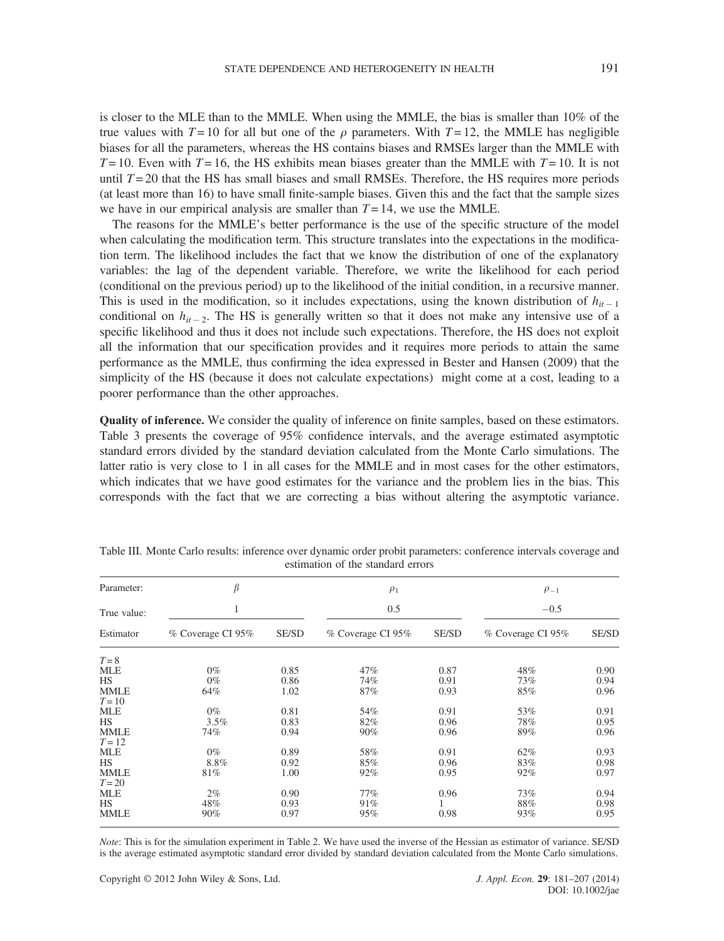is closer to the MLE than to the MMLE. When using the MMLE, the bias is smaller than 10% of the true values with  $T = 10$  for all but one of the  $\rho$  parameters. With  $T = 12$ , the MMLE has negligible biases for all the parameters, whereas the HS contains biases and RMSEs larger than the MMLE with  $T = 10$ . Even with  $T = 16$ , the HS exhibits mean biases greater than the MMLE with  $T = 10$ . It is not until  $T = 20$  that the HS has small biases and small RMSEs. Therefore, the HS requires more periods (at least more than 16) to have small finite-sample biases. Given this and the fact that the sample sizes we have in our empirical analysis are smaller than  $T = 14$ , we use the MMLE.

The reasons for the MMLE's better performance is the use of the specific structure of the model when calculating the modification term. This structure translates into the expectations in the modification term. The likelihood includes the fact that we know the distribution of one of the explanatory variables: the lag of the dependent variable. Therefore, we write the likelihood for each period (conditional on the previous period) up to the likelihood of the initial condition, in a recursive manner. This is used in the modification, so it includes expectations, using the known distribution of  $h_{it-1}$ conditional on  $h_{it-2}$ . The HS is generally written so that it does not make any intensive use of a specific likelihood and thus it does not include such expectations. Therefore, the HS does not exploit all the information that our specification provides and it requires more periods to attain the same performance as the MMLE, thus confirming the idea expressed in Bester and Hansen (2009) that the simplicity of the HS (because it does not calculate expectations) might come at a cost, leading to a poorer performance than the other approaches.

Quality of inference. We consider the quality of inference on finite samples, based on these estimators. Table 3 presents the coverage of 95% confidence intervals, and the average estimated asymptotic standard errors divided by the standard deviation calculated from the Monte Carlo simulations. The latter ratio is very close to 1 in all cases for the MMLE and in most cases for the other estimators, which indicates that we have good estimates for the variance and the problem lies in the bias. This corresponds with the fact that we are correcting a bias without altering the asymptotic variance.

| Parameter:  | β<br>1            |       | $\rho_1$<br>0.5   |       | $\rho_{-1}$<br>$-0.5$ |       |
|-------------|-------------------|-------|-------------------|-------|-----------------------|-------|
| True value: |                   |       |                   |       |                       |       |
| Estimator   | % Coverage CI 95% | SE/SD | % Coverage CI 95% | SE/SD | % Coverage CI 95%     | SE/SD |
| $T = 8$     |                   |       |                   |       |                       |       |
| <b>MLE</b>  | $0\%$             | 0.85  | 47%               | 0.87  | 48%                   | 0.90  |
| <b>HS</b>   | $0\%$             | 0.86  | 74%               | 0.91  | 73%                   | 0.94  |
| <b>MMLE</b> | 64%               | 1.02  | 87%               | 0.93  | 85%                   | 0.96  |
| $T=10$      |                   |       |                   |       |                       |       |
| <b>MLE</b>  | $0\%$             | 0.81  | 54%               | 0.91  | 53%                   | 0.91  |
| <b>HS</b>   | 3.5%              | 0.83  | 82%               | 0.96  | 78%                   | 0.95  |
| <b>MMLE</b> | 74%               | 0.94  | 90%               | 0.96  | 89%                   | 0.96  |
| $T = 12$    |                   |       |                   |       |                       |       |
| <b>MLE</b>  | $0\%$             | 0.89  | 58%               | 0.91  | 62%                   | 0.93  |
| <b>HS</b>   | 8.8%              | 0.92  | 85%               | 0.96  | 83%                   | 0.98  |
| <b>MMLE</b> | 81%               | 1.00  | 92%               | 0.95  | 92%                   | 0.97  |
| $T=20$      |                   |       |                   |       |                       |       |
| <b>MLE</b>  | 2%                | 0.90  | 77%               | 0.96  | 73%                   | 0.94  |
| <b>HS</b>   | 48%               | 0.93  | 91%               |       | 88%                   | 0.98  |
| <b>MMLE</b> | 90%               | 0.97  | 95%               | 0.98  | 93%                   | 0.95  |

Table III. Monte Carlo results: inference over dynamic order probit parameters: conference intervals coverage and estimation of the standard errors

Note: This is for the simulation experiment in Table 2. We have used the inverse of the Hessian as estimator of variance. SE/SD is the average estimated asymptotic standard error divided by standard deviation calculated from the Monte Carlo simulations.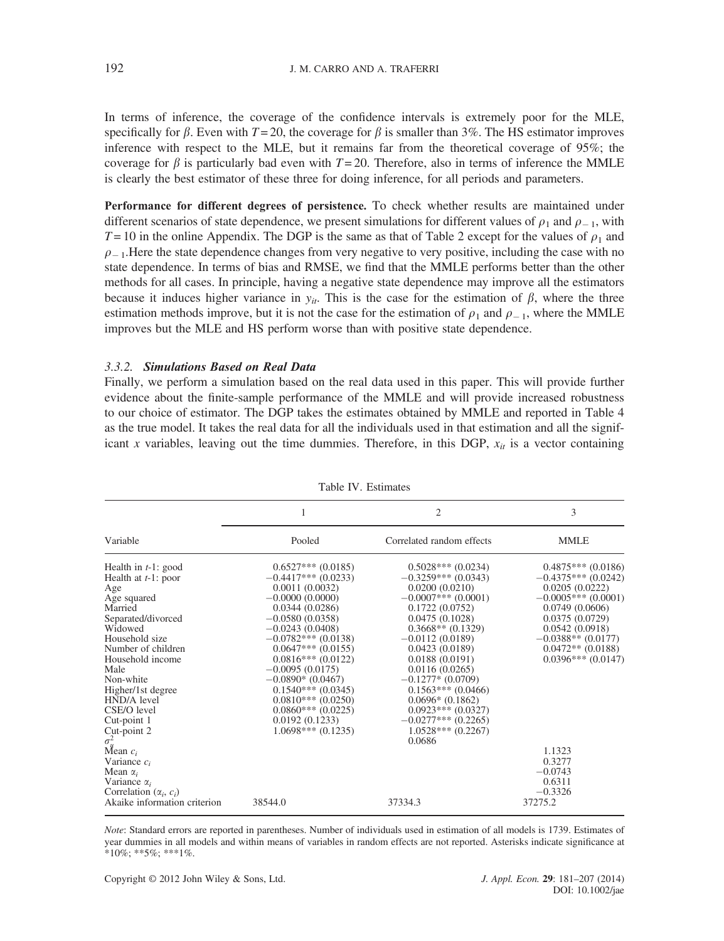In terms of inference, the coverage of the confidence intervals is extremely poor for the MLE, specifically for  $\beta$ . Even with T = 20, the coverage for  $\beta$  is smaller than 3%. The HS estimator improves inference with respect to the MLE, but it remains far from the theoretical coverage of 95%; the coverage for  $\beta$  is particularly bad even with  $T = 20$ . Therefore, also in terms of inference the MMLE is clearly the best estimator of these three for doing inference, for all periods and parameters.

Performance for different degrees of persistence. To check whether results are maintained under different scenarios of state dependence, we present simulations for different values of  $\rho_1$  and  $\rho_{-1}$ , with  $T = 10$  in the online Appendix. The DGP is the same as that of Table 2 except for the values of  $\rho_1$  and  $\rho_{-1}$ . Here the state dependence changes from very negative to very positive, including the case with no state dependence. In terms of bias and RMSE, we find that the MMLE performs better than the other methods for all cases. In principle, having a negative state dependence may improve all the estimators because it induces higher variance in  $y_{it}$ . This is the case for the estimation of  $\beta$ , where the three estimation methods improve, but it is not the case for the estimation of  $\rho_1$  and  $\rho_{-1}$ , where the MMLE improves but the MLE and HS perform worse than with positive state dependence.

## 3.3.2. Simulations Based on Real Data

Finally, we perform a simulation based on the real data used in this paper. This will provide further evidence about the finite-sample performance of the MMLE and will provide increased robustness to our choice of estimator. The DGP takes the estimates obtained by MMLE and reported in Table 4 as the true model. It takes the real data for all the individuals used in that estimation and all the significant x variables, leaving out the time dummies. Therefore, in this DGP,  $x_{it}$  is a vector containing

| TADIC TV. ESUIDALES                                                                                                                                                                                                                                                                                  |                                                                                                                                                                                                                                                                                                                                                                                |                                                                                                                                                                                                                                                                                                                                                                                |                                                                                                                                                                                                                   |  |  |  |
|------------------------------------------------------------------------------------------------------------------------------------------------------------------------------------------------------------------------------------------------------------------------------------------------------|--------------------------------------------------------------------------------------------------------------------------------------------------------------------------------------------------------------------------------------------------------------------------------------------------------------------------------------------------------------------------------|--------------------------------------------------------------------------------------------------------------------------------------------------------------------------------------------------------------------------------------------------------------------------------------------------------------------------------------------------------------------------------|-------------------------------------------------------------------------------------------------------------------------------------------------------------------------------------------------------------------|--|--|--|
|                                                                                                                                                                                                                                                                                                      | 1                                                                                                                                                                                                                                                                                                                                                                              | 2                                                                                                                                                                                                                                                                                                                                                                              | 3                                                                                                                                                                                                                 |  |  |  |
| Variable                                                                                                                                                                                                                                                                                             | Pooled                                                                                                                                                                                                                                                                                                                                                                         | Correlated random effects                                                                                                                                                                                                                                                                                                                                                      | <b>MMLE</b>                                                                                                                                                                                                       |  |  |  |
| Health in $t-1$ : good<br>Health at $t-1$ : poor<br>Age<br>Age squared<br>Married<br>Separated/divorced<br>Widowed<br>Household size<br>Number of children<br>Household income<br>Male<br>Non-white<br>Higher/1st degree<br>HND/A level<br>CSE/O level<br>Cut-point 1<br>Cut-point 2<br>$\sigma_u^2$ | $0.6527***(0.0185)$<br>$-0.4417***(0.0233)$<br>0.0011(0.0032)<br>$-0.0000(0.0000)$<br>0.0344(0.0286)<br>$-0.0580(0.0358)$<br>$-0.0243(0.0408)$<br>$-0.0782***$ (0.0138)<br>$0.0647***(0.0155)$<br>$0.0816***(0.0122)$<br>$-0.0095(0.0175)$<br>$-0.0890*(0.0467)$<br>$0.1540***(0.0345)$<br>$0.0810***(0.0250)$<br>$0.0860***(0.0225)$<br>0.0192(0.1233)<br>$1.0698***(0.1235)$ | $0.5028***(0.0234)$<br>$-0.3259***(0.0343)$<br>0.0200(0.0210)<br>$-0.0007***$ (0.0001)<br>0.1722(0.0752)<br>0.0475(0.1028)<br>$0.3668**$ (0.1329)<br>$-0.0112(0.0189)$<br>0.0423(0.0189)<br>0.0188(0.0191)<br>0.0116(0.0265)<br>$-0.1277*(0.0709)$<br>$0.1563***(0.0466)$<br>$0.0696*(0.1862)$<br>$0.0923***(0.0327)$<br>$-0.0277***(0.2265)$<br>$1.0528***(0.2267)$<br>0.0686 | $0.4875***(0.0186)$<br>$-0.4375***(0.0242)$<br>0.0205(0.0222)<br>$-0.0005***(0.0001)$<br>0.0749(0.0606)<br>0.0375(0.0729)<br>0.0542(0.0918)<br>$-0.0388**$ (0.0177)<br>$0.0472**$ (0.0188)<br>$0.0396***(0.0147)$ |  |  |  |
| Mean $c_i$<br>Variance $c_i$<br>Mean $\alpha_i$<br>Variance $\alpha_i$<br>Correlation $(\alpha_i, c_i)$<br>Akaike information criterion                                                                                                                                                              | 38544.0                                                                                                                                                                                                                                                                                                                                                                        | 37334.3                                                                                                                                                                                                                                                                                                                                                                        | 1.1323<br>0.3277<br>$-0.0743$<br>0.6311<br>$-0.3326$<br>37275.2                                                                                                                                                   |  |  |  |

Note: Standard errors are reported in parentheses. Number of individuals used in estimation of all models is 1739. Estimates of year dummies in all models and within means of variables in random effects are not reported. Asterisks indicate significance at  $*10\%; **5\%; **1\%$ .

Table IV. Estimates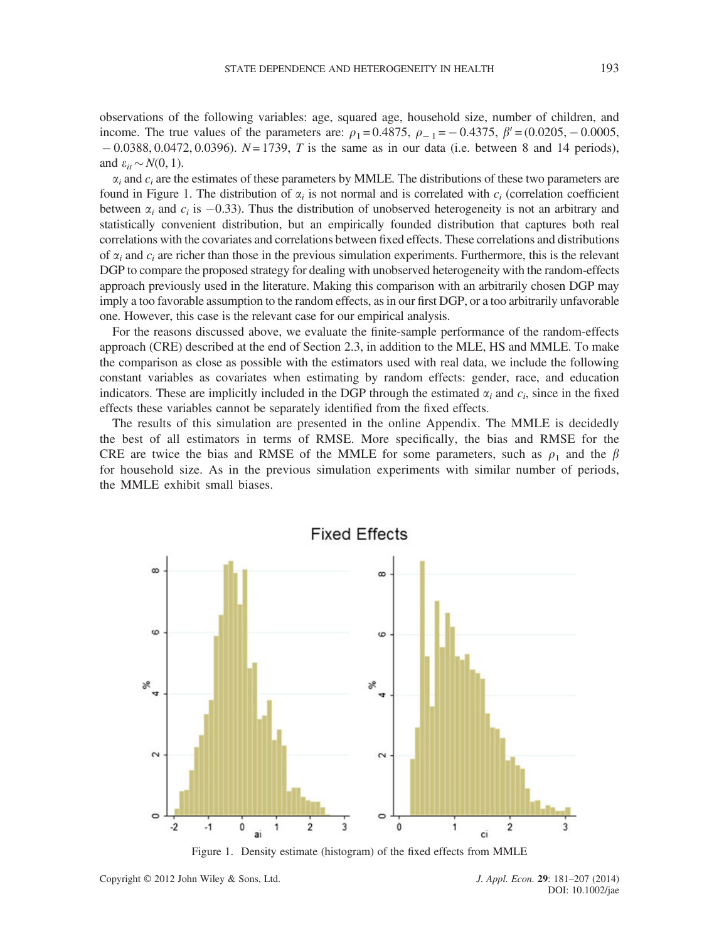observations of the following variables: age, squared age, household size, number of children, and income. The true values of the parameters are:  $\rho_1 = 0.4875$ ,  $\rho_{-1} = -0.4375$ ,  $\beta' = (0.0205, -0.0005,$  $-0.0388, 0.0472, 0.0396$ .  $N = 1739, T$  is the same as in our data (i.e. between 8 and 14 periods), and  $\varepsilon_{it} \sim N(0, 1)$ .

 $\alpha_i$  and  $c_i$  are the estimates of these parameters by MMLE. The distributions of these two parameters are found in Figure 1. The distribution of  $\alpha_i$  is not normal and is correlated with  $c_i$  (correlation coefficient between  $\alpha_i$  and  $c_i$  is -0.33). Thus the distribution of unobserved heterogeneity is not an arbitrary and statistically convenient distribution, but an empirically founded distribution that captures both real correlations with the covariates and correlations between fixed effects. These correlations and distributions of  $\alpha_i$  and  $c_i$  are richer than those in the previous simulation experiments. Furthermore, this is the relevant DGP to compare the proposed strategy for dealing with unobserved heterogeneity with the random-effects approach previously used in the literature. Making this comparison with an arbitrarily chosen DGP may imply a too favorable assumption to the random effects, as in our first DGP, or a too arbitrarily unfavorable one. However, this case is the relevant case for our empirical analysis.

For the reasons discussed above, we evaluate the finite-sample performance of the random-effects approach (CRE) described at the end of Section 2.3, in addition to the MLE, HS and MMLE. To make the comparison as close as possible with the estimators used with real data, we include the following constant variables as covariates when estimating by random effects: gender, race, and education indicators. These are implicitly included in the DGP through the estimated  $\alpha_i$  and  $c_i$ , since in the fixed effects these variables cannot be separately identified from the fixed effects.

The results of this simulation are presented in the online Appendix. The MMLE is decidedly the best of all estimators in terms of RMSE. More specifically, the bias and RMSE for the CRE are twice the bias and RMSE of the MMLE for some parameters, such as  $\rho_1$  and the  $\beta$ for household size. As in the previous simulation experiments with similar number of periods, the MMLE exhibit small biases.



Figure 1. Density estimate (histogram) of the fixed effects from MMLE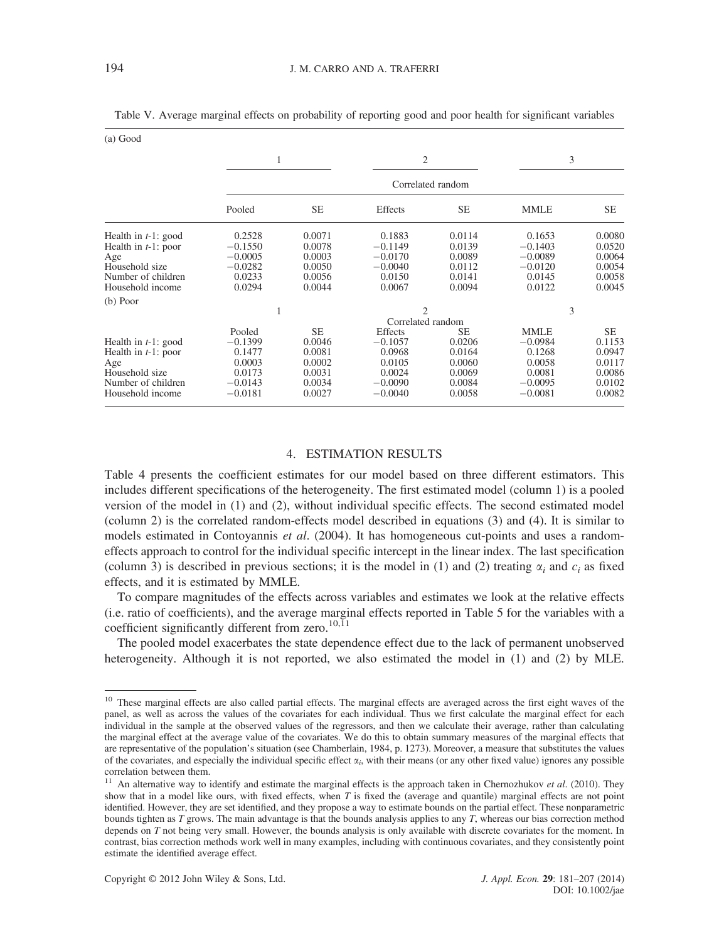| (a) Good               |           |           |                   |           |             |           |
|------------------------|-----------|-----------|-------------------|-----------|-------------|-----------|
|                        | 1         |           | 2                 |           | 3           |           |
|                        |           |           | Correlated random |           |             |           |
|                        | Pooled    | <b>SE</b> | Effects           | <b>SE</b> | <b>MMLE</b> | <b>SE</b> |
| Health in $t-1$ : good | 0.2528    | 0.0071    | 0.1883            | 0.0114    | 0.1653      | 0.0080    |
| Health in $t-1$ : poor | $-0.1550$ | 0.0078    | $-0.1149$         | 0.0139    | $-0.1403$   | 0.0520    |
| Age                    | $-0.0005$ | 0.0003    | $-0.0170$         | 0.0089    | $-0.0089$   | 0.0064    |
| Household size         | $-0.0282$ | 0.0050    | $-0.0040$         | 0.0112    | $-0.0120$   | 0.0054    |
| Number of children     | 0.0233    | 0.0056    | 0.0150            | 0.0141    | 0.0145      | 0.0058    |
| Household income       | 0.0294    | 0.0044    | 0.0067            | 0.0094    | 0.0122      | 0.0045    |
| $(b)$ Poor             |           |           |                   |           |             |           |
|                        |           |           | $\overline{c}$    |           | 3           |           |
|                        |           |           | Correlated random |           |             |           |
|                        | Pooled    | <b>SE</b> | Effects           | <b>SE</b> | <b>MMLE</b> | SE        |
| Health in $t-1$ : good | $-0.1399$ | 0.0046    | $-0.1057$         | 0.0206    | $-0.0984$   | 0.1153    |
| Health in $t-1$ : poor | 0.1477    | 0.0081    | 0.0968            | 0.0164    | 0.1268      | 0.0947    |
| Age                    | 0.0003    | 0.0002    | 0.0105            | 0.0060    | 0.0058      | 0.0117    |
| Household size         | 0.0173    | 0.0031    | 0.0024            | 0.0069    | 0.0081      | 0.0086    |
| Number of children     | $-0.0143$ | 0.0034    | $-0.0090$         | 0.0084    | $-0.0095$   | 0.0102    |
| Household income       | $-0.0181$ | 0.0027    | $-0.0040$         | 0.0058    | $-0.0081$   | 0.0082    |

Table V. Average marginal effects on probability of reporting good and poor health for significant variables

#### 4. ESTIMATION RESULTS

Table 4 presents the coefficient estimates for our model based on three different estimators. This includes different specifications of the heterogeneity. The first estimated model (column 1) is a pooled version of the model in (1) and (2), without individual specific effects. The second estimated model (column 2) is the correlated random-effects model described in equations (3) and (4). It is similar to models estimated in Contoyannis *et al.* (2004). It has homogeneous cut-points and uses a randomeffects approach to control for the individual specific intercept in the linear index. The last specification (column 3) is described in previous sections; it is the model in (1) and (2) treating  $\alpha_i$  and  $c_i$  as fixed effects, and it is estimated by MMLE.

To compare magnitudes of the effects across variables and estimates we look at the relative effects (i.e. ratio of coefficients), and the average marginal effects reported in Table 5 for the variables with a coefficient significantly different from zero.<sup>10,11</sup>

The pooled model exacerbates the state dependence effect due to the lack of permanent unobserved heterogeneity. Although it is not reported, we also estimated the model in (1) and (2) by MLE.

<sup>&</sup>lt;sup>10</sup> These marginal effects are also called partial effects. The marginal effects are averaged across the first eight waves of the panel, as well as across the values of the covariates for each individual. Thus we first calculate the marginal effect for each individual in the sample at the observed values of the regressors, and then we calculate their average, rather than calculating the marginal effect at the average value of the covariates. We do this to obtain summary measures of the marginal effects that are representative of the population's situation (see Chamberlain, 1984, p. 1273). Moreover, a measure that substitutes the values of the covariates, and especially the individual specific effect  $\alpha_i$ , with their means (or any other fixed value) ignores any possible correlation between them.

<sup>&</sup>lt;sup>11</sup> An alternative way to identify and estimate the marginal effects is the approach taken in Chernozhukov et al. (2010). They show that in a model like ours, with fixed effects, when T is fixed the (average and quantile) marginal effects are not point identified. However, they are set identified, and they propose a way to estimate bounds on the partial effect. These nonparametric bounds tighten as T grows. The main advantage is that the bounds analysis applies to any T, whereas our bias correction method depends on T not being very small. However, the bounds analysis is only available with discrete covariates for the moment. In contrast, bias correction methods work well in many examples, including with continuous covariates, and they consistently point estimate the identified average effect.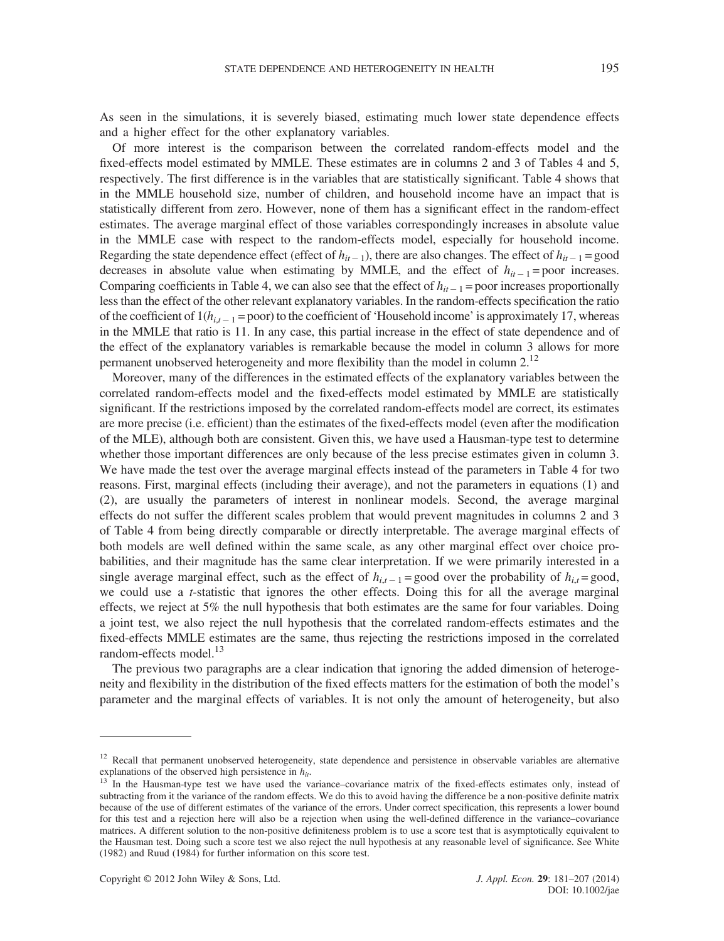As seen in the simulations, it is severely biased, estimating much lower state dependence effects and a higher effect for the other explanatory variables.

Of more interest is the comparison between the correlated random-effects model and the fixed-effects model estimated by MMLE. These estimates are in columns 2 and 3 of Tables 4 and 5, respectively. The first difference is in the variables that are statistically significant. Table 4 shows that in the MMLE household size, number of children, and household income have an impact that is statistically different from zero. However, none of them has a significant effect in the random-effect estimates. The average marginal effect of those variables correspondingly increases in absolute value in the MMLE case with respect to the random-effects model, especially for household income. Regarding the state dependence effect (effect of  $h_{it-1}$ ), there are also changes. The effect of  $h_{it-1}$  = good decreases in absolute value when estimating by MMLE, and the effect of  $h_{it-1} =$  poor increases. Comparing coefficients in Table 4, we can also see that the effect of  $h_{it-1}$  = poor increases proportionally less than the effect of the other relevant explanatory variables. In the random-effects specification the ratio of the coefficient of  $1(h_{i,t-1} = \text{poor})$  to the coefficient of 'Household income' is approximately 17, whereas in the MMLE that ratio is 11. In any case, this partial increase in the effect of state dependence and of the effect of the explanatory variables is remarkable because the model in column 3 allows for more permanent unobserved heterogeneity and more flexibility than the model in column 2.<sup>12</sup>

Moreover, many of the differences in the estimated effects of the explanatory variables between the correlated random-effects model and the fixed-effects model estimated by MMLE are statistically significant. If the restrictions imposed by the correlated random-effects model are correct, its estimates are more precise (i.e. efficient) than the estimates of the fixed-effects model (even after the modification of the MLE), although both are consistent. Given this, we have used a Hausman-type test to determine whether those important differences are only because of the less precise estimates given in column 3. We have made the test over the average marginal effects instead of the parameters in Table 4 for two reasons. First, marginal effects (including their average), and not the parameters in equations (1) and (2), are usually the parameters of interest in nonlinear models. Second, the average marginal effects do not suffer the different scales problem that would prevent magnitudes in columns 2 and 3 of Table 4 from being directly comparable or directly interpretable. The average marginal effects of both models are well defined within the same scale, as any other marginal effect over choice probabilities, and their magnitude has the same clear interpretation. If we were primarily interested in a single average marginal effect, such as the effect of  $h_{i,t-1} =$  good over the probability of  $h_{i,t} =$  good, we could use a t-statistic that ignores the other effects. Doing this for all the average marginal effects, we reject at 5% the null hypothesis that both estimates are the same for four variables. Doing a joint test, we also reject the null hypothesis that the correlated random-effects estimates and the fixed-effects MMLE estimates are the same, thus rejecting the restrictions imposed in the correlated random-effects model.<sup>13</sup>

The previous two paragraphs are a clear indication that ignoring the added dimension of heterogeneity and flexibility in the distribution of the fixed effects matters for the estimation of both the model's parameter and the marginal effects of variables. It is not only the amount of heterogeneity, but also

<sup>&</sup>lt;sup>12</sup> Recall that permanent unobserved heterogeneity, state dependence and persistence in observable variables are alternative explanations of the observed high persistence in  $h_{it}$ .

<sup>&</sup>lt;sup>13</sup> In the Hausman-type test we have used the variance–covariance matrix of the fixed-effects estimates only, instead of subtracting from it the variance of the random effects. We do this to avoid having the difference be a non-positive definite matrix because of the use of different estimates of the variance of the errors. Under correct specification, this represents a lower bound for this test and a rejection here will also be a rejection when using the well-defined difference in the variance–covariance matrices. A different solution to the non-positive definiteness problem is to use a score test that is asymptotically equivalent to the Hausman test. Doing such a score test we also reject the null hypothesis at any reasonable level of significance. See White (1982) and Ruud (1984) for further information on this score test.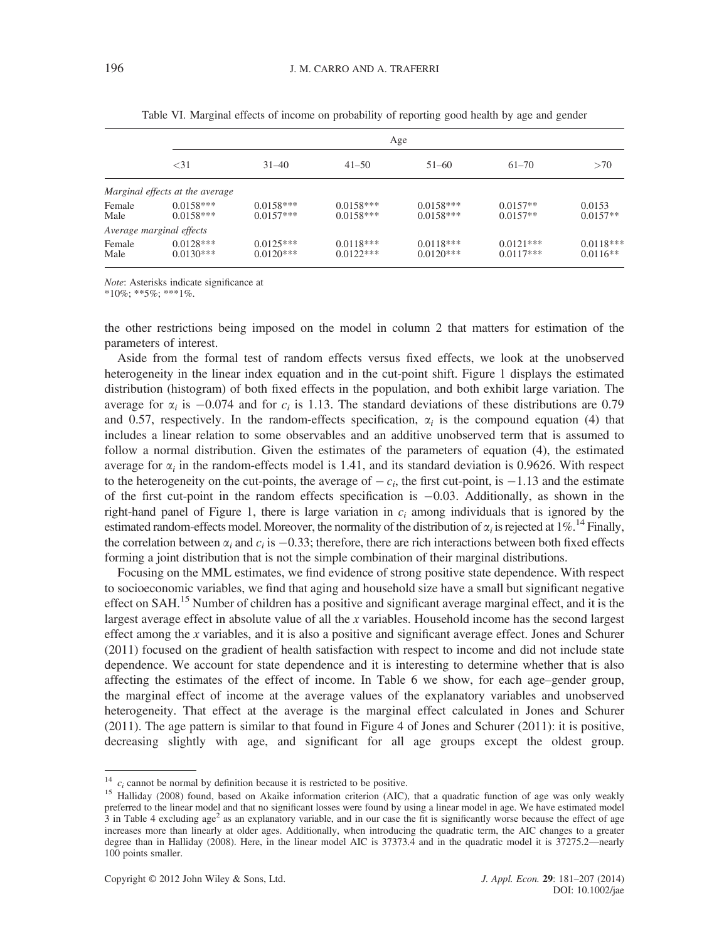|                |                                 | Age                        |                            |                            |                            |                           |  |
|----------------|---------------------------------|----------------------------|----------------------------|----------------------------|----------------------------|---------------------------|--|
|                | $<$ 31                          | $31 - 40$                  | $41 - 50$                  | $51 - 60$                  | $61 - 70$                  | >70                       |  |
|                | Marginal effects at the average |                            |                            |                            |                            |                           |  |
| Female<br>Male | $0.0158***$<br>$0.0158***$      | $0.0158***$<br>$0.0157***$ | $0.0158***$<br>$0.0158***$ | $0.0158***$<br>$0.0158***$ | $0.0157**$<br>$0.0157**$   | 0.0153<br>$0.0157**$      |  |
|                | Average marginal effects        |                            |                            |                            |                            |                           |  |
| Female<br>Male | $0.0128***$<br>$0.0130***$      | $0.0125***$<br>$0.0120***$ | $0.0118***$<br>$0.0122***$ | $0.0118***$<br>$0.0120***$ | $0.0121***$<br>$0.0117***$ | $0.0118***$<br>$0.0116**$ |  |

Table VI. Marginal effects of income on probability of reporting good health by age and gender

Note: Asterisks indicate significance at

 $*10\%; **5\%; **1\%$ 

the other restrictions being imposed on the model in column 2 that matters for estimation of the parameters of interest.

Aside from the formal test of random effects versus fixed effects, we look at the unobserved heterogeneity in the linear index equation and in the cut-point shift. Figure 1 displays the estimated distribution (histogram) of both fixed effects in the population, and both exhibit large variation. The average for  $\alpha_i$  is -0.074 and for  $c_i$  is 1.13. The standard deviations of these distributions are 0.79 and 0.57, respectively. In the random-effects specification,  $\alpha_i$  is the compound equation (4) that includes a linear relation to some observables and an additive unobserved term that is assumed to follow a normal distribution. Given the estimates of the parameters of equation (4), the estimated average for  $\alpha_i$  in the random-effects model is 1.41, and its standard deviation is 0.9626. With respect to the heterogeneity on the cut-points, the average of  $-c_i$ , the first cut-point, is  $-1.13$  and the estimate of the first cut-point in the random effects specification is  $-0.03$ . Additionally, as shown in the right-hand panel of Figure 1, there is large variation in  $c_i$  among individuals that is ignored by the estimated random-effects model. Moreover, the normality of the distribution of  $\alpha_i$  is rejected at 1%.<sup>14</sup> Finally, the correlation between  $\alpha_i$  and  $c_i$  is  $-0.33$ ; therefore, there are rich interactions between both fixed effects forming a joint distribution that is not the simple combination of their marginal distributions.

Focusing on the MML estimates, we find evidence of strong positive state dependence. With respect to socioeconomic variables, we find that aging and household size have a small but significant negative effect on SAH.<sup>15</sup> Number of children has a positive and significant average marginal effect, and it is the largest average effect in absolute value of all the  $x$  variables. Household income has the second largest effect among the x variables, and it is also a positive and significant average effect. Jones and Schurer (2011) focused on the gradient of health satisfaction with respect to income and did not include state dependence. We account for state dependence and it is interesting to determine whether that is also affecting the estimates of the effect of income. In Table 6 we show, for each age–gender group, the marginal effect of income at the average values of the explanatory variables and unobserved heterogeneity. That effect at the average is the marginal effect calculated in Jones and Schurer (2011). The age pattern is similar to that found in Figure 4 of Jones and Schurer (2011): it is positive, decreasing slightly with age, and significant for all age groups except the oldest group.

<sup>&</sup>lt;sup>14</sup>  $c_i$  cannot be normal by definition because it is restricted to be positive.<br><sup>15</sup> Halliday (2008) found, based on Akaike information criterion (AIC), that a quadratic function of age was only weakly preferred to the linear model and that no significant losses were found by using a linear model in age. We have estimated model  $\overline{3}$  in Table 4 excluding age<sup>2</sup> as an explanatory variable, and in our case the fit is significantly worse because the effect of age increases more than linearly at older ages. Additionally, when introducing the quadratic term, the AIC changes to a greater degree than in Halliday (2008). Here, in the linear model AIC is 37373.4 and in the quadratic model it is 37275.2—nearly 100 points smaller.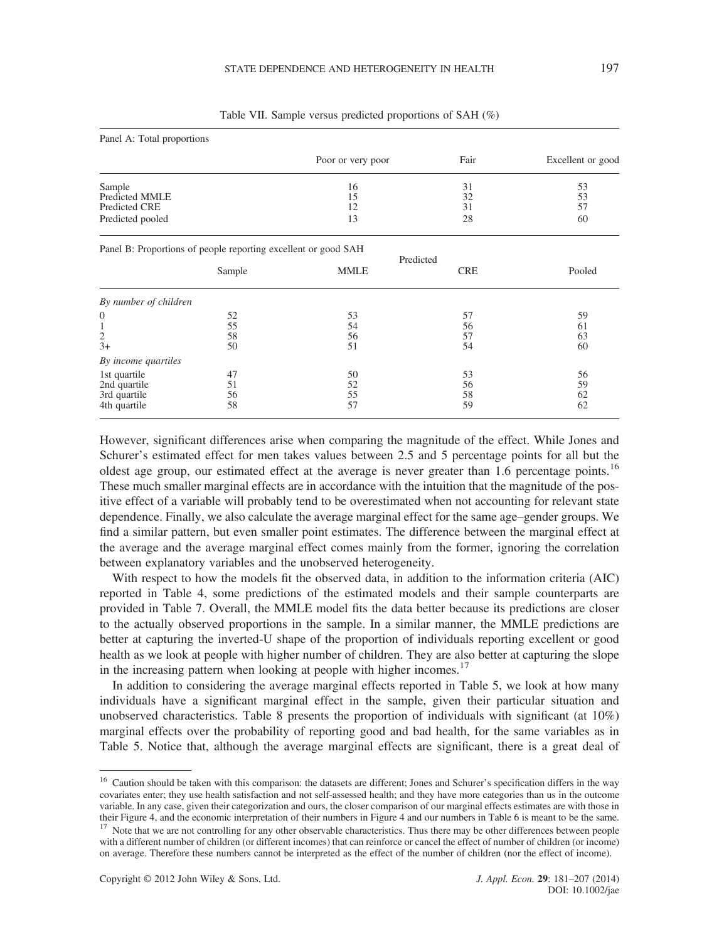|                  | Poor or very poor | Fair | Excellent or good |
|------------------|-------------------|------|-------------------|
| Sample           | 16                | 31   | 53                |
| Predicted MMLE   | 15                | 32   | 53                |
| Predicted CRE    | 12                | 31   | 57                |
| Predicted pooled | 13                | 28   | 60                |

Table VII. Sample versus predicted proportions of SAH (%)

Panel B: Proportions of people reporting excellent or good SAH

|                       | <b>Tanel B.</b> Troportions of people reporting executive of good brift |             | Predicted  |        |
|-----------------------|-------------------------------------------------------------------------|-------------|------------|--------|
|                       | Sample                                                                  | <b>MMLE</b> | <b>CRE</b> | Pooled |
| By number of children |                                                                         |             |            |        |
| $\theta$              | 52                                                                      | 53          | 57         | 59     |
|                       | 55                                                                      | 54          | 56         | 61     |
| $\overline{c}$        | 58                                                                      | 56          | 57         | 63     |
| $3+$                  | 50                                                                      | 51          | 54         | 60     |
| By income quartiles   |                                                                         |             |            |        |
| 1st quartile          | 47                                                                      | 50          | 53         | 56     |
| 2nd quartile          | 51                                                                      | 52          | 56         | 59     |
| 3rd quartile          | 56                                                                      | 55          | 58         | 62     |
| 4th quartile          | 58                                                                      | 57          | 59         | 62     |

However, significant differences arise when comparing the magnitude of the effect. While Jones and Schurer's estimated effect for men takes values between 2.5 and 5 percentage points for all but the oldest age group, our estimated effect at the average is never greater than 1.6 percentage points.<sup>16</sup> These much smaller marginal effects are in accordance with the intuition that the magnitude of the positive effect of a variable will probably tend to be overestimated when not accounting for relevant state dependence. Finally, we also calculate the average marginal effect for the same age–gender groups. We find a similar pattern, but even smaller point estimates. The difference between the marginal effect at the average and the average marginal effect comes mainly from the former, ignoring the correlation between explanatory variables and the unobserved heterogeneity.

With respect to how the models fit the observed data, in addition to the information criteria (AIC) reported in Table 4, some predictions of the estimated models and their sample counterparts are provided in Table 7. Overall, the MMLE model fits the data better because its predictions are closer to the actually observed proportions in the sample. In a similar manner, the MMLE predictions are better at capturing the inverted-U shape of the proportion of individuals reporting excellent or good health as we look at people with higher number of children. They are also better at capturing the slope in the increasing pattern when looking at people with higher incomes.<sup>17</sup>

In addition to considering the average marginal effects reported in Table 5, we look at how many individuals have a significant marginal effect in the sample, given their particular situation and unobserved characteristics. Table 8 presents the proportion of individuals with significant (at 10%) marginal effects over the probability of reporting good and bad health, for the same variables as in Table 5. Notice that, although the average marginal effects are significant, there is a great deal of

<sup>&</sup>lt;sup>16</sup> Caution should be taken with this comparison: the datasets are different; Jones and Schurer's specification differs in the way covariates enter; they use health satisfaction and not self-assessed health; and they have more categories than us in the outcome variable. In any case, given their categorization and ours, the closer comparison of our marginal effects estimates are with those in their Figure 4, and the economic interpretation of their numbers in Figure 4 and our numbers in Table 6 is meant to be the same.

<sup>&</sup>lt;sup>17</sup> Note that we are not controlling for any other observable characteristics. Thus there may be other differences between people with a different number of children (or different incomes) that can reinforce or cancel the effect of number of children (or income) on average. Therefore these numbers cannot be interpreted as the effect of the number of children (nor the effect of income).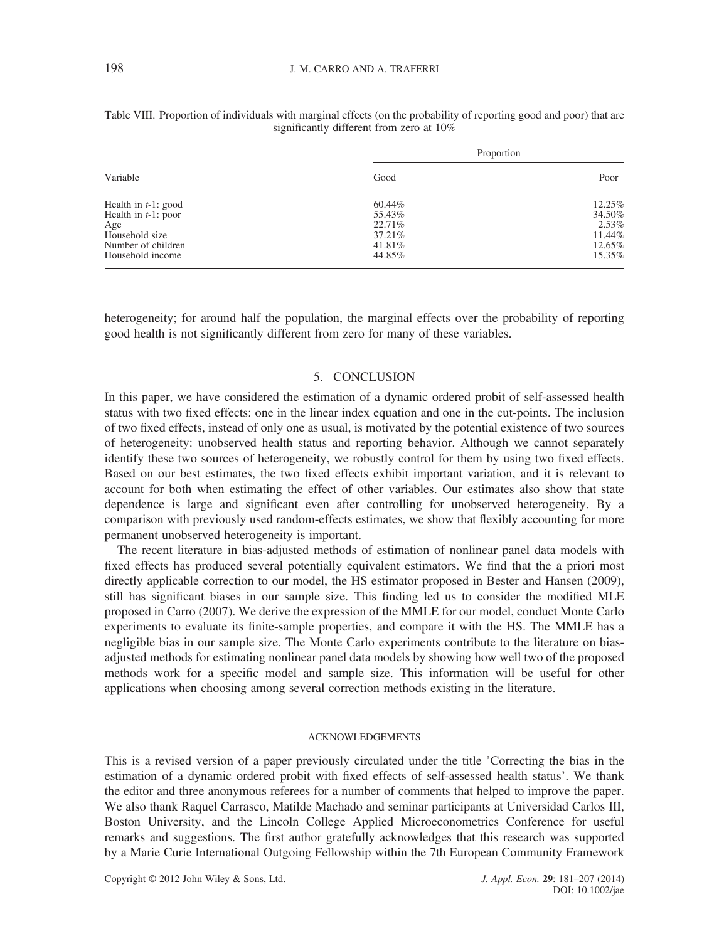|                        |         | Proportion |  |
|------------------------|---------|------------|--|
| Variable               | Good    | Poor       |  |
| Health in $t-1$ : good | 60.44%  | 12.25%     |  |
| Health in $t-1$ : poor | 55.43%  | 34.50%     |  |
| Age                    | 22.71%  | $2.53\%$   |  |
| Household size         | 37.21\% | 11.44%     |  |
| Number of children     | 41.81%  | 12.65%     |  |
| Household income       | 44.85%  | 15.35%     |  |

Table VIII. Proportion of individuals with marginal effects (on the probability of reporting good and poor) that are significantly different from zero at 10%

heterogeneity; for around half the population, the marginal effects over the probability of reporting good health is not significantly different from zero for many of these variables.

## 5. CONCLUSION

In this paper, we have considered the estimation of a dynamic ordered probit of self-assessed health status with two fixed effects: one in the linear index equation and one in the cut-points. The inclusion of two fixed effects, instead of only one as usual, is motivated by the potential existence of two sources of heterogeneity: unobserved health status and reporting behavior. Although we cannot separately identify these two sources of heterogeneity, we robustly control for them by using two fixed effects. Based on our best estimates, the two fixed effects exhibit important variation, and it is relevant to account for both when estimating the effect of other variables. Our estimates also show that state dependence is large and significant even after controlling for unobserved heterogeneity. By a comparison with previously used random-effects estimates, we show that flexibly accounting for more permanent unobserved heterogeneity is important.

The recent literature in bias-adjusted methods of estimation of nonlinear panel data models with fixed effects has produced several potentially equivalent estimators. We find that the a priori most directly applicable correction to our model, the HS estimator proposed in Bester and Hansen (2009), still has significant biases in our sample size. This finding led us to consider the modified MLE proposed in Carro (2007). We derive the expression of the MMLE for our model, conduct Monte Carlo experiments to evaluate its finite-sample properties, and compare it with the HS. The MMLE has a negligible bias in our sample size. The Monte Carlo experiments contribute to the literature on biasadjusted methods for estimating nonlinear panel data models by showing how well two of the proposed methods work for a specific model and sample size. This information will be useful for other applications when choosing among several correction methods existing in the literature.

#### ACKNOWLEDGEMENTS

This is a revised version of a paper previously circulated under the title 'Correcting the bias in the estimation of a dynamic ordered probit with fixed effects of self-assessed health status'. We thank the editor and three anonymous referees for a number of comments that helped to improve the paper. We also thank Raquel Carrasco, Matilde Machado and seminar participants at Universidad Carlos III, Boston University, and the Lincoln College Applied Microeconometrics Conference for useful remarks and suggestions. The first author gratefully acknowledges that this research was supported by a Marie Curie International Outgoing Fellowship within the 7th European Community Framework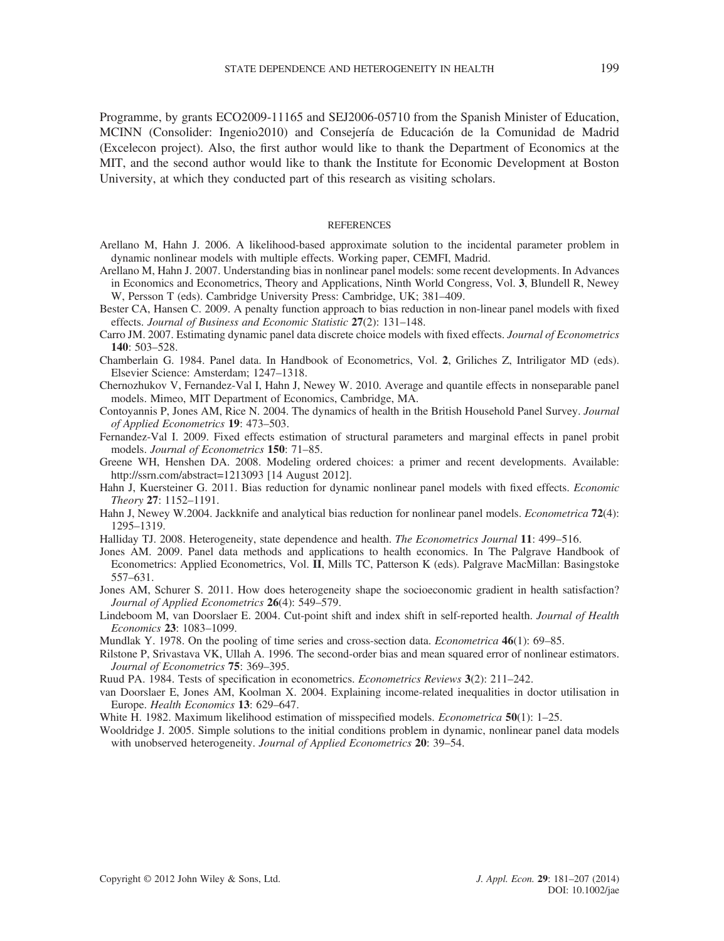Programme, by grants ECO2009-11165 and SEJ2006-05710 from the Spanish Minister of Education, MCINN (Consolider: Ingenio2010) and Consejería de Educación de la Comunidad de Madrid (Excelecon project). Also, the first author would like to thank the Department of Economics at the MIT, and the second author would like to thank the Institute for Economic Development at Boston University, at which they conducted part of this research as visiting scholars.

#### REFERENCES

- Arellano M, Hahn J. 2006. A likelihood-based approximate solution to the incidental parameter problem in dynamic nonlinear models with multiple effects. Working paper, CEMFI, Madrid.
- Arellano M, Hahn J. 2007. Understanding bias in nonlinear panel models: some recent developments. In Advances in Economics and Econometrics, Theory and Applications, Ninth World Congress, Vol. 3, Blundell R, Newey W, Persson T (eds). Cambridge University Press: Cambridge, UK; 381–409.
- Bester CA, Hansen C. 2009. A penalty function approach to bias reduction in non-linear panel models with fixed effects. Journal of Business and Economic Statistic 27(2): 131–148.
- Carro JM. 2007. Estimating dynamic panel data discrete choice models with fixed effects. Journal of Econometrics 140: 503–528.
- Chamberlain G. 1984. Panel data. In Handbook of Econometrics, Vol. 2, Griliches Z, Intriligator MD (eds). Elsevier Science: Amsterdam; 1247–1318.
- Chernozhukov V, Fernandez-Val I, Hahn J, Newey W. 2010. Average and quantile effects in nonseparable panel models. Mimeo, MIT Department of Economics, Cambridge, MA.
- Contoyannis P, Jones AM, Rice N. 2004. The dynamics of health in the British Household Panel Survey. Journal of Applied Econometrics 19: 473–503.
- Fernandez-Val I. 2009. Fixed effects estimation of structural parameters and marginal effects in panel probit models. Journal of Econometrics 150: 71–85.
- Greene WH, Henshen DA. 2008. Modeling ordered choices: a primer and recent developments. Available: <http://ssrn.com/abstract=1213093> [14 August 2012].
- Hahn J, Kuersteiner G. 2011. Bias reduction for dynamic nonlinear panel models with fixed effects. Economic Theory 27: 1152–1191.
- Hahn J, Newey W.2004. Jackknife and analytical bias reduction for nonlinear panel models. Econometrica 72(4): 1295–1319.
- Halliday TJ. 2008. Heterogeneity, state dependence and health. The Econometrics Journal 11: 499–516.
- Jones AM. 2009. Panel data methods and applications to health economics. In The Palgrave Handbook of Econometrics: Applied Econometrics, Vol. II, Mills TC, Patterson K (eds). Palgrave MacMillan: Basingstoke 557–631.
- Jones AM, Schurer S. 2011. How does heterogeneity shape the socioeconomic gradient in health satisfaction? Journal of Applied Econometrics 26(4): 549-579.
- Lindeboom M, van Doorslaer E. 2004. Cut-point shift and index shift in self-reported health. Journal of Health Economics 23: 1083–1099.
- Mundlak Y. 1978. On the pooling of time series and cross-section data. *Econometrica* 46(1): 69-85.
- Rilstone P, Srivastava VK, Ullah A. 1996. The second-order bias and mean squared error of nonlinear estimators. Journal of Econometrics 75: 369-395.
- Ruud PA. 1984. Tests of specification in econometrics. Econometrics Reviews 3(2): 211–242.
- van Doorslaer E, Jones AM, Koolman X. 2004. Explaining income-related inequalities in doctor utilisation in Europe. Health Economics 13: 629–647.
- White H. 1982. Maximum likelihood estimation of misspecified models. *Econometrica* **50**(1): 1–25.
- Wooldridge J. 2005. Simple solutions to the initial conditions problem in dynamic, nonlinear panel data models with unobserved heterogeneity. Journal of Applied Econometrics 20: 39–54.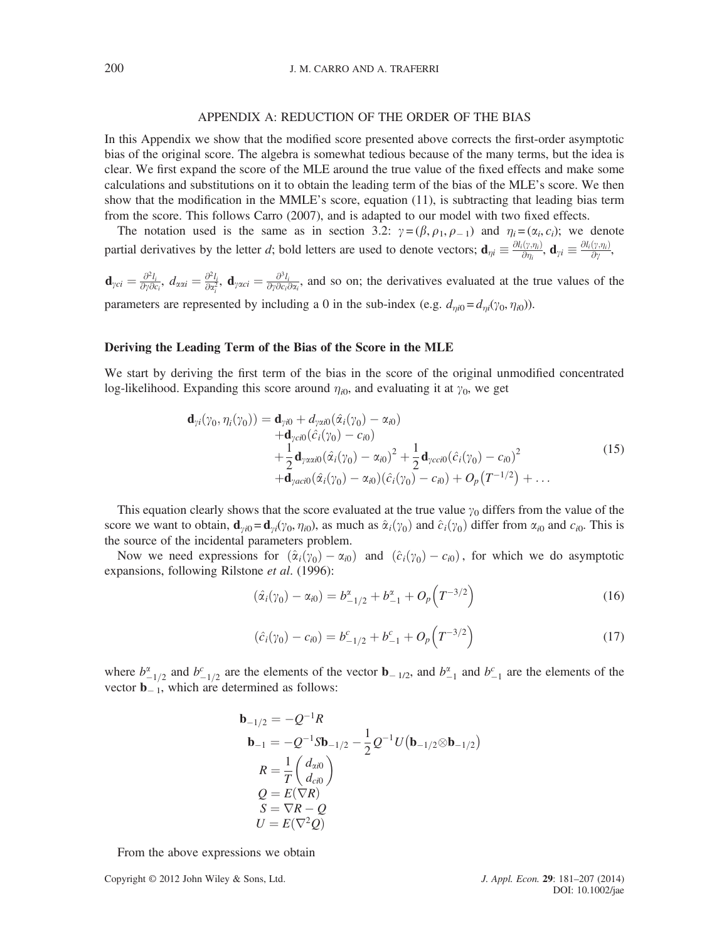#### APPENDIX A: REDUCTION OF THE ORDER OF THE BIAS

In this Appendix we show that the modified score presented above corrects the first-order asymptotic bias of the original score. The algebra is somewhat tedious because of the many terms, but the idea is clear. We first expand the score of the MLE around the true value of the fixed effects and make some calculations and substitutions on it to obtain the leading term of the bias of the MLE's score. We then show that the modification in the MMLE's score, equation (11), is subtracting that leading bias term from the score. This follows Carro (2007), and is adapted to our model with two fixed effects.

The notation used is the same as in section 3.2:  $\gamma = (\beta, \rho_1, \rho_{-1})$  and  $\eta_i = (\alpha_i, c_i)$ ; we denote partial derivatives by the letter d; bold letters are used to denote vectors;  $\mathbf{d}_{\eta i} \equiv \frac{\partial l_i(\gamma, \eta_i)}{\partial \eta_i}$ ,  $\mathbf{d}_{\gamma i$ The notation used is the same as in section 3.2:  $\gamma = (\beta, \rho_1, \rho_{-1})$  and  $\eta_i = (\alpha_i, c_i)$ ; we denote

 $\mathbf{d}_{\gamma ci} = \frac{\partial^2 l_i}{\partial \gamma \partial c_i}$ ,  $d_{\alpha \alpha i} = \frac{\partial^2 l_i}{\partial \gamma \partial \gamma \partial c_i}$ , and so on; the derivatives evaluated at the true values of the parameters are represented by including a 0 in the sub-index (e.g.  $d_{\eta i0} = d_{\eta i}(\gamma_0, \eta_{i0})$ ).

#### Deriving the Leading Term of the Bias of the Score in the MLE

We start by deriving the first term of the bias in the score of the original unmodified concentrated log-likelihood. Expanding this score around  $\eta_{i0}$ , and evaluating it at  $\gamma_0$ , we get

$$
\mathbf{d}_{\gamma i}(\gamma_0, \eta_i(\gamma_0)) = \mathbf{d}_{\gamma i0} + d_{\gamma \alpha i0}(\hat{\alpha}_i(\gamma_0) - \alpha_{i0}) \n+ \mathbf{d}_{\gamma c i0}(\hat{c}_i(\gamma_0) - c_{i0}) \n+ \frac{1}{2}\mathbf{d}_{\gamma \alpha \alpha i0}(\hat{\alpha}_i(\gamma_0) - \alpha_{i0})^2 + \frac{1}{2}\mathbf{d}_{\gamma c c i0}(\hat{c}_i(\gamma_0) - c_{i0})^2 \n+ \mathbf{d}_{\gamma \alpha c i0}(\hat{\alpha}_i(\gamma_0) - \alpha_{i0})(\hat{c}_i(\gamma_0) - c_{i0}) + O_p(T^{-1/2}) + \dots
$$
\n(15)

This equation clearly shows that the score evaluated at the true value  $\gamma_0$  differs from the value of the score we want to obtain,  $\mathbf{d}_{\gamma i0} = \mathbf{d}_{\gamma i}(\gamma_0, \eta_{i0})$ , as much as  $\hat{\alpha}_i(\gamma_0)$  and  $\hat{c}_i(\gamma_0)$  differ from  $\alpha_{i0}$  and  $c_{i0}$ . This is the source of the incidental parameters problem the source of the incidental parameters problem.

Now we need expressions for  $(\hat{\alpha}_i(\gamma_0) - \alpha_{i0})$  and  $(\hat{c}_i(\gamma_0) - c_{i0})$ , for which we do asymptotic expansions, following Rilstone et al. (1996):

$$
(\hat{\alpha}_i(\gamma_0) - \alpha_{i0}) = b^{\alpha}_{-1/2} + b^{\alpha}_{-1} + O_p(T^{-3/2})
$$
\n(16)

$$
(\hat{c}_i(\gamma_0) - c_{i0}) = b_{-1/2}^c + b_{-1}^c + O_p(T^{-3/2})
$$
\n(17)

where  $b^{\alpha}_{-1/2}$  and  $b^{\alpha}_{-1/2}$  are the elements of the vector **b**<sub>-1/2</sub>, and  $b^{\alpha}_{-1}$  and  $b^{\alpha}_{-1}$  are the elements of the vector **b**<sub>-1</sub>, which are determined as follows: vector  $\mathbf{b}_{-1}$ , which are determined as follows:

$$
\mathbf{b}_{-1/2} = -Q^{-1}R
$$
  
\n
$$
\mathbf{b}_{-1} = -Q^{-1}S\mathbf{b}_{-1/2} - \frac{1}{2}Q^{-1}U(\mathbf{b}_{-1/2}\otimes \mathbf{b}_{-1/2})
$$
  
\n
$$
R = \frac{1}{T} \begin{pmatrix} d_{xi0} \\ d_{ci0} \end{pmatrix}
$$
  
\n
$$
Q = E(\nabla R)
$$
  
\n
$$
S = \nabla R - Q
$$
  
\n
$$
U = E(\nabla^2 Q)
$$

From the above expressions we obtain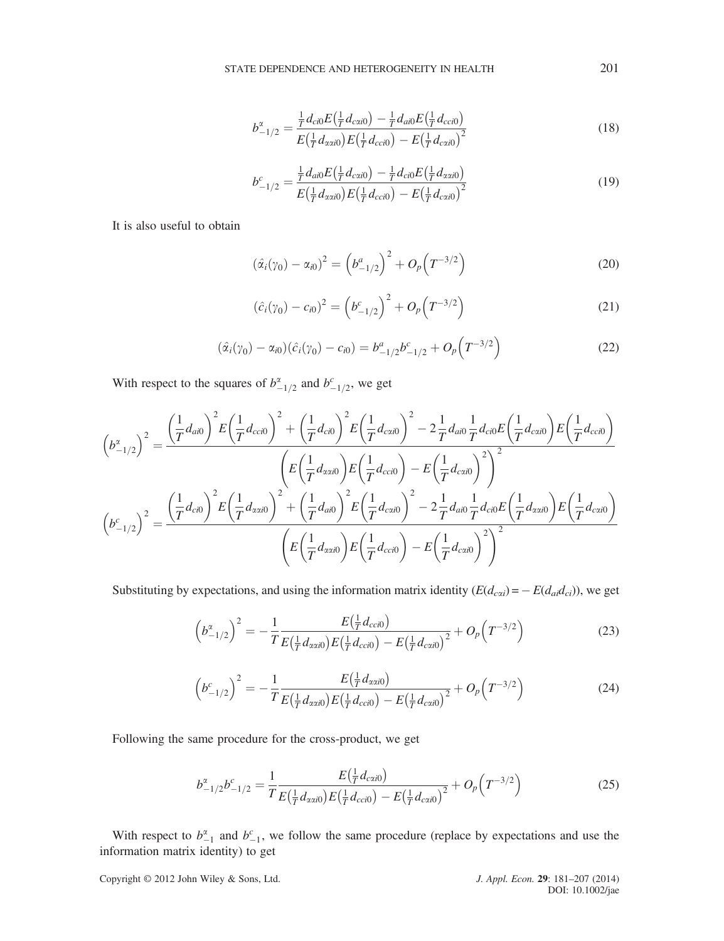STATE DEPENDENCE AND HETEROGENEITY IN HEALTH 201

$$
b_{-1/2}^{\alpha} = \frac{\frac{1}{T}d_{ci0}E(\frac{1}{T}d_{c\alpha i0}) - \frac{1}{T}d_{ai0}E(\frac{1}{T}d_{cci0})}{E(\frac{1}{T}d_{\alpha\alpha i0})E(\frac{1}{T}d_{cci0}) - E(\frac{1}{T}d_{c\alpha i0})^2}
$$
(18)

$$
b_{-1/2}^c = \frac{\frac{1}{T} d_{ai0} E(\frac{1}{T} d_{c20}) - \frac{1}{T} d_{ci0} E(\frac{1}{T} d_{\alpha z0})}{E(\frac{1}{T} d_{\alpha z0}) E(\frac{1}{T} d_{cc0}) - E(\frac{1}{T} d_{c20})^2}
$$
(19)

It is also useful to obtain

$$
(\hat{\alpha}_i(\gamma_0) - \alpha_{i0})^2 = \left(b_{-1/2}^a\right)^2 + O_p\left(T^{-3/2}\right)
$$
\n(20)

$$
(\hat{c}_i(\gamma_0) - c_{i0})^2 = \left(b_{-1/2}^c\right)^2 + O_p\left(T^{-3/2}\right)
$$
\n(21)

$$
(\hat{\alpha}_i(\gamma_0) - \alpha_{i0})(\hat{c}_i(\gamma_0) - c_{i0}) = b_{-1/2}^a b_{-1/2}^c + O_p(T^{-3/2})
$$
\n(22)

With respect to the squares of  $b^{\alpha}_{-1/2}$  and  $b^c_{-1/2}$ , we get

$$
\left(b_{-1/2}^{\alpha}\right)^{2} = \frac{\left(\frac{1}{T}d_{ai0}\right)^{2}E\left(\frac{1}{T}d_{cci0}\right)^{2} + \left(\frac{1}{T}d_{cii0}\right)^{2}E\left(\frac{1}{T}d_{cxi0}\right)^{2} - 2\frac{1}{T}d_{ai0}\frac{1}{T}d_{ci0}E\left(\frac{1}{T}d_{cxi0}\right)E\left(\frac{1}{T}d_{cci0}\right)}{\left(E\left(\frac{1}{T}d_{axi0}\right)E\left(\frac{1}{T}d_{cci0}\right) - E\left(\frac{1}{T}d_{cxi0}\right)^{2}\right)^{2}}
$$
\n
$$
\left(b_{-1/2}^{c}\right)^{2} = \frac{\left(\frac{1}{T}d_{ci0}\right)^{2}E\left(\frac{1}{T}d_{axi0}\right)^{2} + \left(\frac{1}{T}d_{ai0}\right)^{2}E\left(\frac{1}{T}d_{cxi0}\right)^{2} - 2\frac{1}{T}d_{ai0}\frac{1}{T}d_{ci0}E\left(\frac{1}{T}d_{axi0}\right)E\left(\frac{1}{T}d_{cxi0}\right)}{\left(E\left(\frac{1}{T}d_{axi0}\right)E\left(\frac{1}{T}d_{cci0}\right) - E\left(\frac{1}{T}d_{cxi0}\right)^{2}\right)^{2}}
$$

Substituting by expectations, and using the information matrix identity  $(E(d_{cai}) = -E(d_{ai}d_{ci}))$ , we get

$$
\left(b_{-1/2}^{\alpha}\right)^2 = -\frac{1}{T} \frac{E\left(\frac{1}{T}d_{cci0}\right)}{E\left(\frac{1}{T}d_{\alpha\alpha i0}\right)E\left(\frac{1}{T}d_{cci0}\right) - E\left(\frac{1}{T}d_{c\alpha i0}\right)^2} + O_p\left(T^{-3/2}\right)
$$
\n(23)

$$
\left(b_{-1/2}^c\right)^2 = -\frac{1}{T} \frac{E\left(\frac{1}{T}d_{\alpha\alpha i0}\right)}{E\left(\frac{1}{T}d_{\alpha\alpha i0}\right)E\left(\frac{1}{T}d_{cci0}\right) - E\left(\frac{1}{T}d_{c\alpha i0}\right)^2} + O_p\left(T^{-3/2}\right)
$$
\n(24)

Following the same procedure for the cross-product, we get

$$
b_{-1/2}^{\alpha}b_{-1/2}^{c} = \frac{1}{T} \frac{E(\frac{1}{T}d_{\text{czi0}})}{E(\frac{1}{T}d_{\text{czi0}})E(\frac{1}{T}d_{\text{cci0}}) - E(\frac{1}{T}d_{\text{czi0}})^{2}} + O_{p}\left(T^{-3/2}\right)
$$
(25)

With respect to  $b^{\alpha}_{-1}$  and  $b^{\beta}_{-1}$ , we follow the same procedure (replace by expectations and use the correction matrix identity) to get information matrix identity) to get

Copyright © 2012 John Wiley & Sons, Ltd. J. Appl. Econ. 29: 181–207 (2014)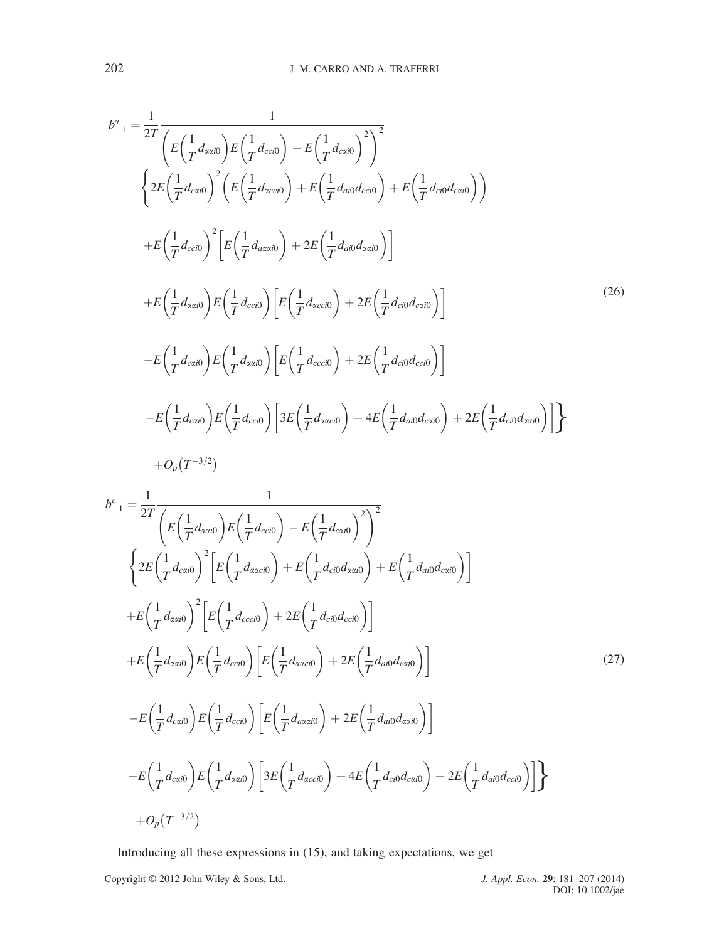$$
b_{-1}^{z} = \frac{1}{2T} \frac{1}{\left(E\left(\frac{1}{T}d_{xx0}\right)E\left(\frac{1}{T}d_{xx0}\right) - E\left(\frac{1}{T}d_{xx0}\right)^{2}\right)^{2}} \left\{ 2E\left(\frac{1}{T}d_{xx0}\right)^{2} \left(E\left(\frac{1}{T}d_{xx0}\right) + E\left(\frac{1}{T}d_{x00}d_{x0}\right) + E\left(\frac{1}{T}d_{x0}d_{x0}\right)\right) \right\}
$$
  
\n
$$
+ E\left(\frac{1}{T}d_{xx0}\right)^{2} \left[E\left(\frac{1}{T}d_{xx00}\right) + 2E\left(\frac{1}{T}d_{x00}d_{x00}\right)\right]
$$
  
\n
$$
+ E\left(\frac{1}{T}d_{xx0}\right)E\left(\frac{1}{T}d_{x00}\right) \left[E\left(\frac{1}{T}d_{x00}\right) + 2E\left(\frac{1}{T}d_{x0}d_{x00}\right)\right]
$$
  
\n
$$
- E\left(\frac{1}{T}d_{xx0}\right)E\left(\frac{1}{T}d_{x00}\right) \left[E\left(\frac{1}{T}d_{x00}\right) + 2E\left(\frac{1}{T}d_{x0}d_{x00}\right)\right]
$$
  
\n
$$
- E\left(\frac{1}{T}d_{x00}\right)E\left(\frac{1}{T}d_{x00}\right) \left[3E\left(\frac{1}{T}d_{x00}\right) + 4E\left(\frac{1}{T}d_{x0}d_{x00}\right) + 2E\left(\frac{1}{T}d_{x0}d_{x00}\right)\right]\right\}
$$
  
\n
$$
+ O_{p}(T^{-3/2})
$$
  
\n
$$
b_{-1}^{z} = \frac{1}{2T} \frac{1}{\left(E\left(\frac{1}{T}d_{x00}\right)E\left(\frac{1}{T}d_{x00}\right) - E\left(\frac{1}{T}d_{x00}\right)^{2}\right)^{2}}
$$
  
\n
$$
\left\{ 2E\left(\frac{1}{T}d_{x00}\right)^{2} \left[E\left(\frac{1}{T}d_{x00}\right) +
$$

Introducing all these expressions in (15), and taking expectations, we get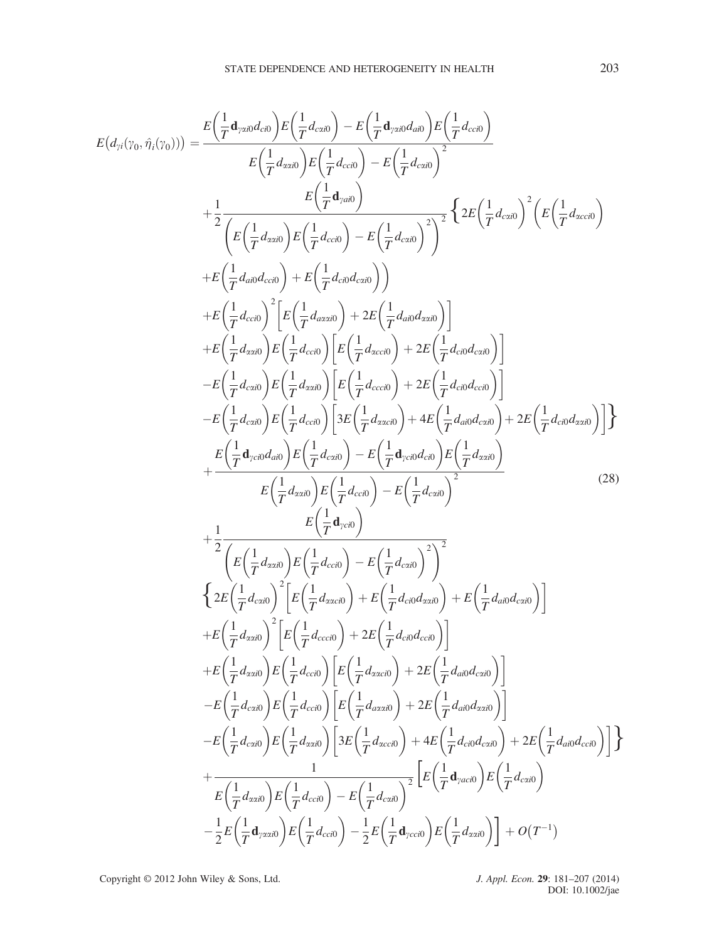$$
E(d_{\pi}(y_0, \hat{\eta}, (y_0))) = \frac{E\left(\frac{1}{T}d_{\pi x0}d_{\pi 0}\right)E\left(\frac{1}{T}d_{\pi x0}\right)-E\left(\frac{1}{T}d_{\pi x0}d_{\pi 0}\right)E\left(\frac{1}{T}d_{\pi x0}\right)}{E\left(\frac{1}{T}d_{\pi x0}\right)E\left(\frac{1}{T}d_{\pi x0}\right)-E\left(\frac{1}{T}d_{\pi x0}\right)^{2}} + \frac{E\left(\frac{1}{T}d_{\pi x0}\right)^{2}}{2\left(E\left(\frac{1}{T}d_{\pi x0}\right)E\left(\frac{1}{T}d_{\pi x0}\right)-E\left(\frac{1}{T}d_{\pi x0}\right)^{2}\right)}^{2}\left\{2E\left(\frac{1}{T}d_{\pi x0}\right)^{2}\left(E\left(\frac{1}{T}d_{\pi x0}\right)\right) + E\left(\frac{1}{T}d_{\pi x0}\right)E\left(\frac{1}{T}d_{\pi x0}\right)\right)\right\} + E\left(\frac{1}{T}d_{\pi x0}\right)E\left(\frac{1}{T}d_{\pi x0}\right)-E\left(\frac{1}{T}d_{\pi x0}\right)\right)
$$
  
\n
$$
+E\left(\frac{1}{T}d_{\pi x0}\right)E\left(\frac{1}{T}d_{\pi x0}\right)-E\left(\frac{1}{T}d_{\pi x0}\right)\right)
$$
  
\n
$$
+E\left(\frac{1}{T}d_{\pi x0}\right)E\left(\frac{1}{T}d_{\pi x0}\right)\left[E\left(\frac{1}{T}d_{\pi x0}\right)+2E\left(\frac{1}{T}d_{\pi x0}d_{\pi x0}\right)\right]
$$
  
\n
$$
-E\left(\frac{1}{T}d_{\pi x0}\right)E\left(\frac{1}{T}d_{\pi x0}\right)\left[E\left(\frac{1}{T}d_{\pi x0}\right)+4E\left(\frac{1}{T}d_{\pi x0}d_{\pi x0}\right)\right]
$$
  
\n
$$
-E\left(\frac{1}{T}d_{\pi x0}\right)E\left(\frac{1}{T}d_{\pi x0}\right)-E\left(\frac{1}{T}d_{\pi x0}d
$$

J. Appl. Econ. **29**: 181–207 (2014)<br>DOI: 10.1002/jae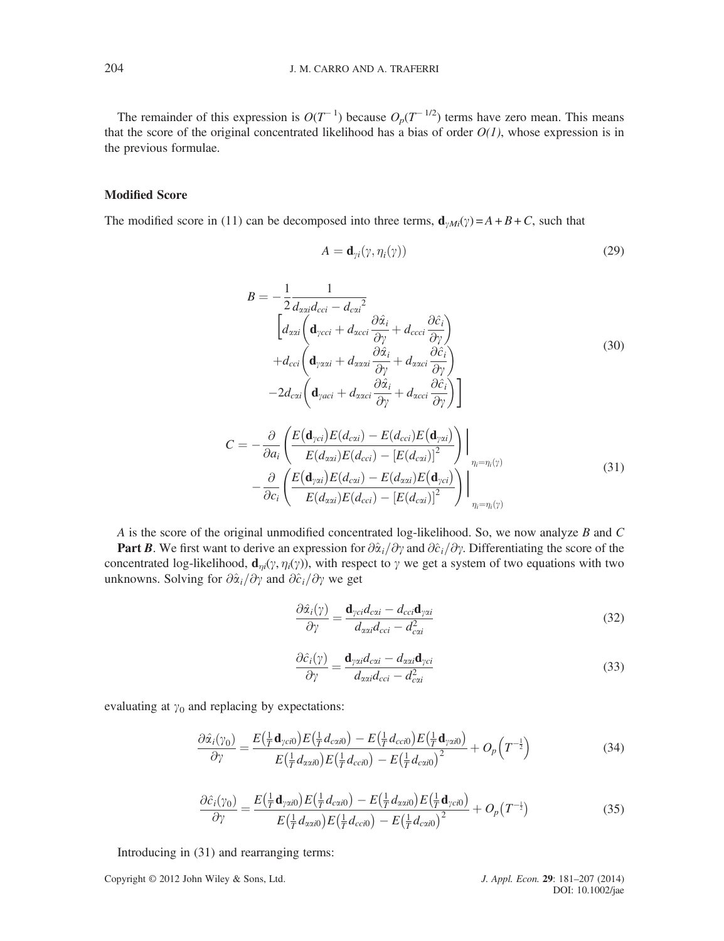The remainder of this expression is  $O(T^{-1})$  because  $O_p(T^{-1/2})$  terms have zero mean. This means that the score of the original concentrated likelihood has a bias of order  $O(1)$ , whose expression is in the previous formulae.

#### Modified Score

The modified score in (11) can be decomposed into three terms,  $\mathbf{d}_{yMi}(y) = A + B + C$ , such that

$$
A = \mathbf{d}_{\gamma i}(\gamma, \eta_i(\gamma))
$$
\n(29)

$$
B = -\frac{1}{2} \frac{1}{d_{\alpha\alpha i} d_{\text{cc} i} - d_{\text{c}\alpha i}^2} \left[ d_{\alpha\alpha i} \left( \mathbf{d}_{\gamma \text{cc} i} + d_{\alpha\alpha i} \frac{\partial \hat{\alpha}_i}{\partial \gamma} + d_{\text{c}\text{cc} i} \frac{\partial \hat{\alpha}_i}{\partial \gamma} \right) + d_{\text{cc} i} \left( \mathbf{d}_{\gamma \alpha \alpha i} + d_{\alpha\alpha \alpha i} \frac{\partial \hat{\alpha}_i}{\partial \gamma} + d_{\text{c}\alpha i} \frac{\partial \hat{\alpha}_i}{\partial \gamma} \right) - 2d_{\text{c}\alpha i} \left( \mathbf{d}_{\gamma \alpha \alpha i} + d_{\text{c}\alpha \alpha i} \frac{\partial \hat{\alpha}_i}{\partial \gamma} + d_{\text{c}\alpha i} \frac{\partial \hat{\alpha}_i}{\partial \gamma} \right) \right]
$$
  

$$
C = -\frac{\partial}{\partial a_i} \left( \frac{E(\mathbf{d}_{\gamma \alpha i}) E(d_{\text{c}\alpha i}) - E(d_{\text{c}\alpha i}) E(\mathbf{d}_{\gamma \alpha i})}{E(d_{\text{c}\alpha i}) E(d_{\text{c}\alpha i}) - [E(d_{\text{c}\alpha i})]^2} \right) \Big|_{\eta_i = \eta_i(\gamma)}
$$
  

$$
- \frac{\partial}{\partial c_i} \left( \frac{E(\mathbf{d}_{\gamma \alpha i}) E(d_{\text{c}\alpha i}) - E(d_{\text{c}\alpha i}) E(\mathbf{d}_{\gamma \alpha i})}{E(d_{\text{c}\alpha i}) E(d_{\text{c}\alpha i}) - [E(d_{\text{c}\alpha i})]^2} \right) \Big|_{\eta_i = \eta_i(\gamma)}
$$
(31)

A is the score of the original unmodified concentrated log-likelihood. So, we now analyze B and C **Part B.** We first want to derive an expression for  $\partial \hat{\alpha}_i/\partial \gamma$  and  $\partial \hat{\alpha}_i/\partial \gamma$ . Differentiating the score of the concentrated log-likelihood,  $\mathbf{d}_{\eta i}(\gamma, \eta_i(\gamma))$ , with respect to  $\gamma$  we get a system of two equations with two unknowns. Solving for  $\partial \hat{\alpha}$ . ( $\partial \gamma$  and  $\partial \hat{\alpha}$ .) we get unknowns. Solving for  $\partial \hat{\alpha}_i/\partial \gamma$  and  $\partial \hat{c}_i/\partial \gamma$  we get

$$
\frac{\partial \hat{a}_i(\gamma)}{\partial \gamma} = \frac{\mathbf{d}_{\gamma ci} d_{czi} - d_{cci} \mathbf{d}_{\gamma z i}}{d_{\alpha z i} d_{cci} - d_{cci}^2}
$$
(32)

$$
\frac{\partial \hat{c}_i(\gamma)}{\partial \gamma} = \frac{\mathbf{d}_{\gamma \alpha i} d_{c\alpha i} - d_{\alpha \alpha i} \mathbf{d}_{\gamma c i}}{d_{\alpha \alpha i} d_{c\alpha i} - d_{c\alpha i}^2}
$$
(33)

evaluating at  $\gamma_0$  and replacing by expectations:

$$
\frac{\partial \hat{\alpha}_i(\gamma_0)}{\partial \gamma} = \frac{E\left(\frac{1}{T}\mathbf{d}_{\gamma c i 0}\right)E\left(\frac{1}{T}d_{c\alpha i 0}\right) - E\left(\frac{1}{T}d_{c\alpha i 0}\right)E\left(\frac{1}{T}\mathbf{d}_{\gamma\alpha i 0}\right)}{E\left(\frac{1}{T}d_{\alpha\alpha i 0}\right)E\left(\frac{1}{T}d_{c\alpha i 0}\right) - E\left(\frac{1}{T}d_{c\alpha i 0}\right)^2} + O_p\left(T^{-\frac{1}{2}}\right)
$$
(34)

$$
\frac{\partial \hat{c}_i(\gamma_0)}{\partial \gamma} = \frac{E(\frac{1}{T}\mathbf{d}_{\gamma\alpha i0})E(\frac{1}{T}d_{\text{c}\alpha i0}) - E(\frac{1}{T}d_{\text{c}\alpha i0})E(\frac{1}{T}\mathbf{d}_{\gamma\text{c}\alpha 0})}{E(\frac{1}{T}d_{\text{c}\alpha i0})E(\frac{1}{T}d_{\text{c}\alpha i0}) - E(\frac{1}{T}d_{\text{c}\alpha i0})^2} + O_p(T^{-\frac{1}{2}})
$$
(35)

Introducing in (31) and rearranging terms: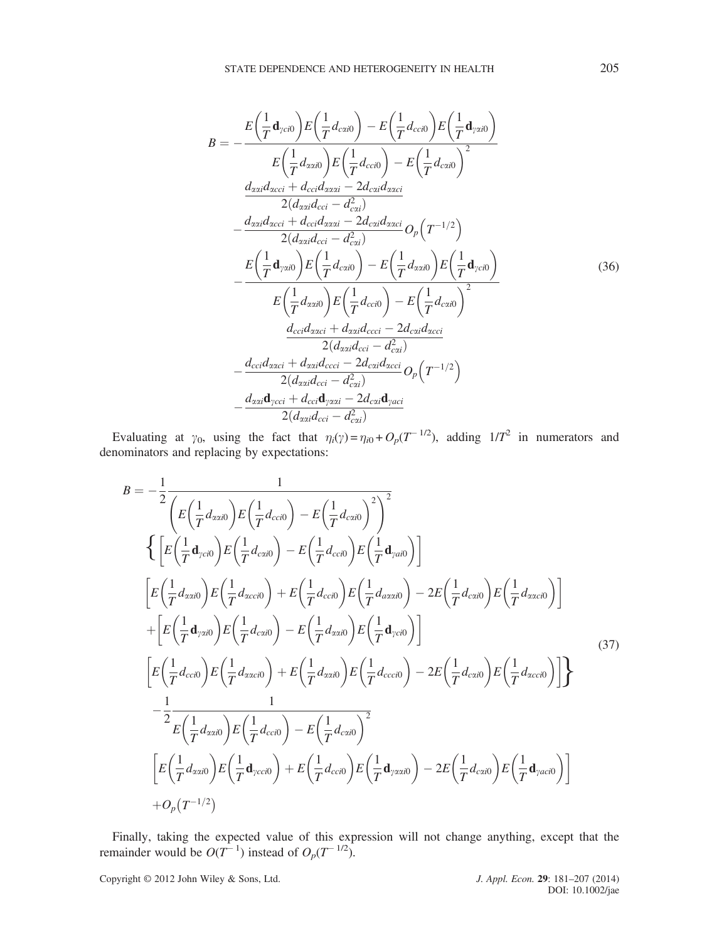$$
B = -\frac{E\left(\frac{1}{T}\mathbf{d}_{\gamma c i0}\right)E\left(\frac{1}{T}d_{cz i0}\right) - E\left(\frac{1}{T}d_{cc i0}\right)E\left(\frac{1}{T}\mathbf{d}_{\gamma z i0}\right)}{E\left(\frac{1}{T}d_{\alpha z i0}\right)E\left(\frac{1}{T}d_{cc i0}\right) - E\left(\frac{1}{T}d_{cz i0}\right)^2}
$$
\n
$$
\frac{d_{\alpha z i}d_{\alpha c c i} + d_{cc i}d_{\alpha z i i} - 2d_{c z i}d_{\alpha z c i}}{2(d_{\alpha z i}d_{cc i} - d_{c z i}^2)}
$$
\n
$$
-\frac{d_{\alpha z i}d_{\alpha c c i} + d_{cc i}d_{\alpha z i i} - 2d_{c z i}d_{\alpha z c i}}{2(d_{\alpha z i}d_{cc i} - d_{c z i}^2)} O_p\left(T^{-1/2}\right)
$$
\n
$$
-\frac{E\left(\frac{1}{T}\mathbf{d}_{\gamma z i0}\right)E\left(\frac{1}{T}d_{c z i0}\right) - E\left(\frac{1}{T}d_{\alpha z i0}\right)E\left(\frac{1}{T}\mathbf{d}_{\gamma c i0}\right)}{E\left(\frac{1}{T}d_{\alpha z i0}\right)E\left(\frac{1}{T}d_{cc i0}\right) - E\left(\frac{1}{T}d_{c z i0}\right)^2}
$$
\n
$$
-\frac{d_{cc i}d_{\alpha z c i} + d_{\alpha z i}d_{\alpha c c i} - 2d_{c z i}d_{\alpha c c i}}{2(d_{\alpha z i}d_{cc i} - d_{c z i}^2)} O_p\left(T^{-1/2}\right)
$$
\n
$$
-\frac{d_{\alpha z i}d_{\gamma c c i} + d_{c z i}d_{\gamma \alpha i} - 2d_{c z i}d_{\gamma \alpha i}}{2(d_{\alpha z i}d_{cc i} - d_{c z i}^2)} O_p\left(T^{-1/2}\right)
$$

Evaluating at  $\gamma_0$ , using the fact that  $\eta_i(\gamma) = \eta_{i0} + O_p(T^{-1/2})$ , adding  $1/T^2$  in numerators and nominators and replacing by expectations. denominators and replacing by expectations:

$$
B = -\frac{1}{2} \frac{1}{\left(E\left(\frac{1}{T}d_{\alpha 2i0}\right)E\left(\frac{1}{T}d_{cci0}\right) - E\left(\frac{1}{T}d_{c2i0}\right)^{2}\right)^{2}} \left\{\left[E\left(\frac{1}{T}d_{\alpha 2i0}\right)E\left(\frac{1}{T}d_{c2i0}\right) - E\left(\frac{1}{T}d_{cci0}\right)E\left(\frac{1}{T}d_{\gamma a0}\right)\right] \right\}
$$
\n
$$
\left[E\left(\frac{1}{T}d_{\alpha 2i0}\right)E\left(\frac{1}{T}d_{\alpha c\alpha}\right) + E\left(\frac{1}{T}d_{cci0}\right)E\left(\frac{1}{T}d_{\alpha 2i0}\right) - 2E\left(\frac{1}{T}d_{c2i0}\right)E\left(\frac{1}{T}d_{\alpha 2c\alpha}\right)\right] \right\}
$$
\n
$$
+ \left[E\left(\frac{1}{T}d_{\gamma 2i0}\right)E\left(\frac{1}{T}d_{\gamma 2i0}\right) - E\left(\frac{1}{T}d_{\alpha 2i0}\right)E\left(\frac{1}{T}d_{\gamma c\alpha}\right)\right]
$$
\n
$$
\left[E\left(\frac{1}{T}d_{\alpha c\alpha}\right)E\left(\frac{1}{T}d_{\alpha 2c\alpha}\right) + E\left(\frac{1}{T}d_{\alpha 2i0}\right)E\left(\frac{1}{T}d_{\gamma c\alpha}\right) - 2E\left(\frac{1}{T}d_{\alpha 2i0}\right)E\left(\frac{1}{T}d_{\alpha c\alpha}\right)\right]\right\}
$$
\n
$$
- \frac{1}{2}\frac{1}{E\left(\frac{1}{T}d_{\alpha 2i0}\right)E\left(\frac{1}{T}d_{\alpha c\alpha}\right) - E\left(\frac{1}{T}d_{\alpha 2i0}\right)^{2}}
$$
\n
$$
\left[E\left(\frac{1}{T}d_{\alpha 2i0}\right)E\left(\frac{1}{T}d_{\gamma c\alpha}\right) + E\left(\frac{1}{T}d_{\alpha c\alpha}\right)E\left(\frac{1}{T}d_{\gamma 2i0}\right) - 2E\left(\frac{1}{T}d_{\alpha 2i0}\right)
$$

Finally, taking the expected value of this expression will not change anything, except that the remainder would be  $O(T^{-1})$  instead of  $O_p(T^{-1/2})$ .

Copyright  $© 2012$  John Wiley & Sons, Ltd.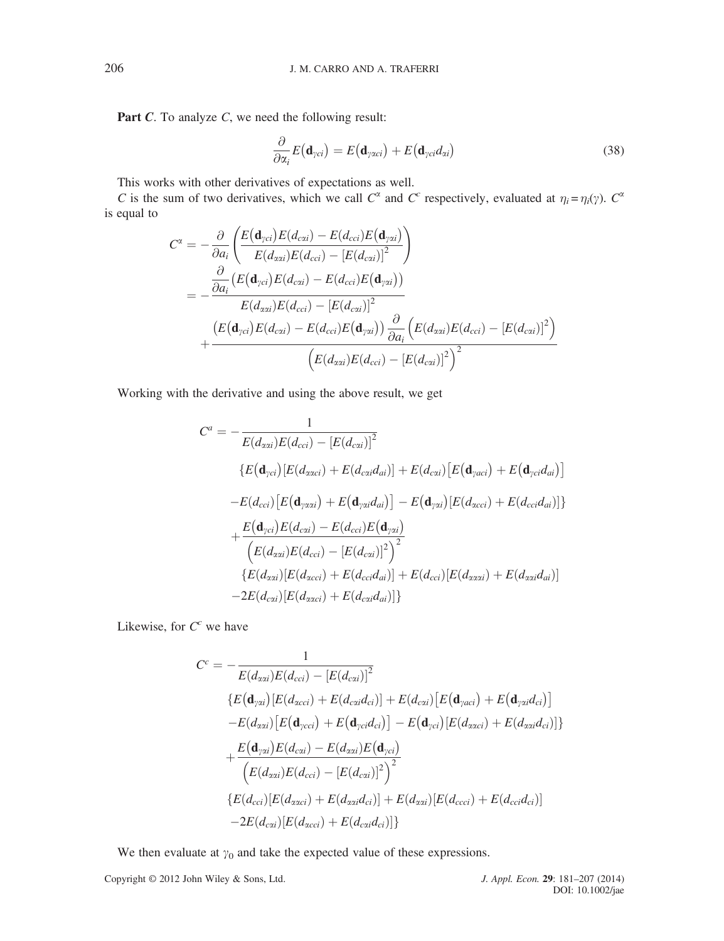Part C. To analyze C, we need the following result:

$$
\frac{\partial}{\partial \alpha_i} E(\mathbf{d}_{\gamma ci}) = E(\mathbf{d}_{\gamma aci}) + E(\mathbf{d}_{\gamma ci} d_{\alpha i})
$$
\n(38)

This works with other derivatives of expectations as well.

C is the sum of two derivatives, which we call  $C^{\alpha}$  and  $C^c$  respectively, evaluated at  $\eta_i = \eta_i(\gamma)$ .  $C^{\alpha}$  equal to is equal to

$$
C^{\alpha} = -\frac{\partial}{\partial a_i} \left( \frac{E(\mathbf{d}_{\gamma ci})E(d_{cxi}) - E(d_{cci})E(\mathbf{d}_{\gamma ai})}{E(d_{\alpha xi})E(d_{cci}) - [E(d_{cxi})]^2} \right)
$$
  
= 
$$
-\frac{\frac{\partial}{\partial a_i} (E(\mathbf{d}_{\gamma ci})E(d_{cxi}) - E(d_{cci})E(\mathbf{d}_{\gamma ai}))}{E(d_{\alpha xi})E(d_{cci}) - [E(d_{cxi})]^2}
$$
  
+ 
$$
\frac{(E(\mathbf{d}_{\gamma ci})E(d_{cxi}) - E(d_{cci})E(\mathbf{d}_{\gamma ai})) \frac{\partial}{\partial a_i} (E(d_{\alpha xi})E(d_{cci}) - [E(d_{cxi})]^2)}{(E(d_{\alpha xi})E(d_{cci}) - [E(d_{cxi})]^2)^2}
$$

Working with the derivative and using the above result, we get

$$
C^{a} = -\frac{1}{E(d_{\alpha\alpha i})E(d_{\alpha ci}) - [E(d_{\alpha i})]^{2}}
$$
  
\n
$$
\{E(\mathbf{d}_{\gamma ci})[E(d_{\alpha\alpha i}) + E(d_{\alpha i}d_{\alpha i})] + E(d_{\alpha i})[E(\mathbf{d}_{\gamma\alpha i}) + E(\mathbf{d}_{\gamma ci}d_{\alpha i})]
$$
  
\n
$$
-E(d_{\alpha i})[E(\mathbf{d}_{\gamma\alpha i}) + E(\mathbf{d}_{\gamma\alpha i}d_{\alpha i})] - E(\mathbf{d}_{\gamma\alpha i})[E(d_{\alpha ci}) + E(d_{\alpha i}d_{\alpha i})]\}
$$
  
\n
$$
+\frac{E(\mathbf{d}_{\gamma\alpha i})E(d_{\alpha\alpha i}) - E(d_{\alpha ci})E(\mathbf{d}_{\gamma\alpha i})}{(E(d_{\alpha\alpha i})E(d_{\alpha ci}) - [E(d_{\alpha i})]^{2})^{2}}
$$
  
\n
$$
\{E(d_{\alpha\alpha i})[E(d_{\alpha\alpha i}) + E(d_{\alpha ci}d_{\alpha i})] + E(d_{\alpha ci})[E(d_{\alpha\alpha\alpha i}) + E(d_{\alpha\alpha i}d_{\alpha i})]
$$
  
\n
$$
-2E(d_{\alpha\alpha i})[E(d_{\alpha\alpha ci}) + E(d_{\alpha\alpha i}d_{\alpha i})]]
$$

Likewise, for  $C^c$  we have

$$
C^{c} = -\frac{1}{E(d_{\alpha\alpha i})E(d_{cci}) - [E(d_{c\alpha i})]^{2}}
$$
  
\n
$$
\{E(\mathbf{d}_{\gamma\alpha i})[E(d_{\alpha cci}) + E(d_{c\alpha i}d_{ci})] + E(d_{\alpha\alpha i})[E(\mathbf{d}_{\gamma\alpha i}) + E(\mathbf{d}_{\gamma\alpha i}d_{ci})]
$$
\n
$$
-E(d_{\alpha\alpha i})[E(\mathbf{d}_{\gamma cci}) + E(\mathbf{d}_{\gamma c i}d_{ci})] - E(\mathbf{d}_{\gamma c i})[E(d_{\alpha\alpha i}) + E(d_{\alpha\alpha i}d_{ci})]\}
$$
\n
$$
+\frac{E(\mathbf{d}_{\gamma\alpha i})E(d_{c\alpha i}) - E(d_{\alpha\alpha i})E(\mathbf{d}_{\gamma c i})}{(E(d_{\alpha\alpha i})E(d_{cci}) - [E(d_{c\alpha i})]^{2})^{2}}
$$
\n
$$
\{E(d_{cci})[E(d_{\alpha\alpha c i}) + E(d_{\alpha\alpha i}d_{ci})] + E(d_{\alpha\alpha i})[E(d_{c\alpha c i}) + E(d_{c\alpha i}d_{ci})]
$$
\n
$$
-2E(d_{c\alpha i})[E(d_{\alpha cci}) + E(d_{c\alpha i}d_{ci})]\}
$$

We then evaluate at  $\gamma_0$  and take the expected value of these expressions.